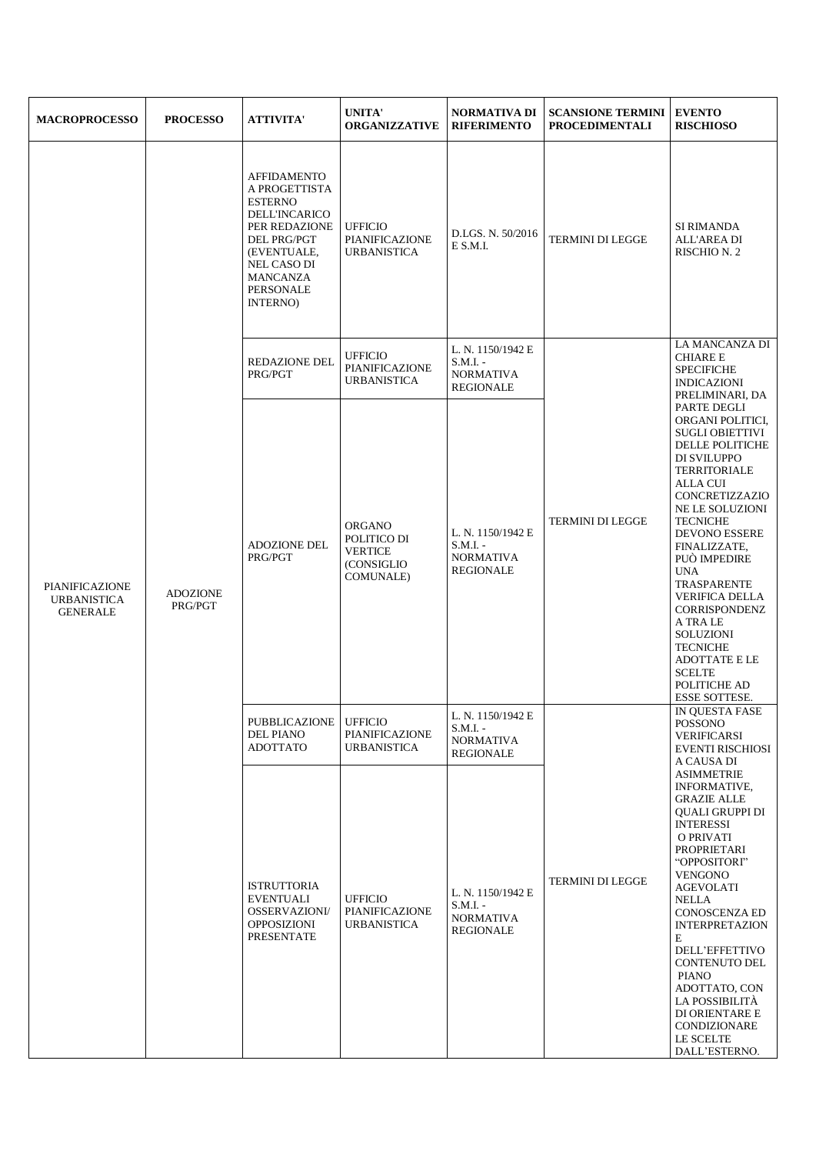| <b>MACROPROCESSO</b>                                    | <b>PROCESSO</b>            | <b>ATTIVITA'</b>                                                                                                                                                                                             | <b>UNITA'</b><br><b>ORGANIZZATIVE</b>                                             | <b>NORMATIVA DI</b><br><b>RIFERIMENTO</b>                               | <b>SCANSIONE TERMINI</b><br><b>PROCEDIMENTALI</b> | <b>EVENTO</b><br><b>RISCHIOSO</b>                                                                                                                                                                                                                                                                                                                                                                                                 |
|---------------------------------------------------------|----------------------------|--------------------------------------------------------------------------------------------------------------------------------------------------------------------------------------------------------------|-----------------------------------------------------------------------------------|-------------------------------------------------------------------------|---------------------------------------------------|-----------------------------------------------------------------------------------------------------------------------------------------------------------------------------------------------------------------------------------------------------------------------------------------------------------------------------------------------------------------------------------------------------------------------------------|
|                                                         |                            | <b>AFFIDAMENTO</b><br>A PROGETTISTA<br><b>ESTERNO</b><br><b>DELL'INCARICO</b><br>PER REDAZIONE<br><b>DEL PRG/PGT</b><br>(EVENTUALE,<br><b>NEL CASO DI</b><br><b>MANCANZA</b><br><b>PERSONALE</b><br>INTERNO) | <b>UFFICIO</b><br><b>PIANIFICAZIONE</b><br><b>URBANISTICA</b>                     | D.LGS. N. 50/2016<br>E S.M.I.                                           | <b>TERMINI DI LEGGE</b>                           | SI RIMANDA<br>ALL'AREA DI<br>RISCHIO N. 2                                                                                                                                                                                                                                                                                                                                                                                         |
|                                                         |                            | <b>REDAZIONE DEL</b><br>PRG/PGT                                                                                                                                                                              | <b>UFFICIO</b><br><b>PIANIFICAZIONE</b><br><b>URBANISTICA</b>                     | L. N. 1150/1942 E<br>$S.M.I. -$<br><b>NORMATIVA</b><br><b>REGIONALE</b> |                                                   | LA MANCANZA DI<br><b>CHIARE E</b><br><b>SPECIFICHE</b><br><b>INDICAZIONI</b><br>PRELIMINARI, DA                                                                                                                                                                                                                                                                                                                                   |
| PIANIFICAZIONE<br><b>URBANISTICA</b><br><b>GENERALE</b> | <b>ADOZIONE</b><br>PRG/PGT | <b>ADOZIONE DEL</b><br>PRG/PGT                                                                                                                                                                               | <b>ORGANO</b><br>POLITICO DI<br><b>VERTICE</b><br>(CONSIGLIO<br><b>COMUNALE</b> ) | L. N. 1150/1942 E<br>$S.M.I. -$<br><b>NORMATIVA</b><br><b>REGIONALE</b> | <b>TERMINI DI LEGGE</b>                           | PARTE DEGLI<br>ORGANI POLITICI,<br><b>SUGLI OBIETTIVI</b><br>DELLE POLITICHE<br>DI SVILUPPO<br><b>TERRITORIALE</b><br>ALLA CUI<br>CONCRETIZZAZIO<br>NE LE SOLUZIONI<br><b>TECNICHE</b><br><b>DEVONO ESSERE</b><br>FINALIZZATE,<br>PUÒ IMPEDIRE<br><b>UNA</b><br>TRASPARENTE<br><b>VERIFICA DELLA</b><br><b>CORRISPONDENZ</b><br>A TRA LE<br>SOLUZIONI<br><b>TECNICHE</b><br><b>ADOTTATE E LE</b><br><b>SCELTE</b><br>POLITICHE AD |
|                                                         |                            | PUBBLICAZIONE<br><b>DEL PIANO</b><br><b>ADOTTATO</b>                                                                                                                                                         | <b>UFFICIO</b><br>PIANIFICAZIONE<br><b>URBANISTICA</b>                            | L. N. 1150/1942 E<br>$S.M.I. -$<br><b>NORMATIVA</b><br>REGIONALE        | <b>TERMINI DI LEGGE</b>                           | <b>ESSE SOTTESE.</b><br>IN QUESTA FASE<br><b>POSSONO</b><br><b>VERIFICARSI</b><br><b>EVENTI RISCHIOSI</b>                                                                                                                                                                                                                                                                                                                         |
|                                                         |                            | <b>ISTRUTTORIA</b><br><b>EVENTUALI</b><br>OSSERVAZIONI/<br>OPPOSIZIONI<br><b>PRESENTATE</b>                                                                                                                  | <b>UFFICIO</b><br>PIANIFICAZIONE<br><b>URBANISTICA</b>                            | L. N. 1150/1942 E<br>$S.M.I. -$<br><b>NORMATIVA</b><br>REGIONALE        |                                                   | A CAUSA DI<br><b>ASIMMETRIE</b><br>INFORMATIVE,<br><b>GRAZIE ALLE</b><br>QUALI GRUPPI DI<br><b>INTERESSI</b><br>O PRIVATI<br>PROPRIETARI<br>"OPPOSITORI"<br><b>VENGONO</b><br><b>AGEVOLATI</b><br><b>NELLA</b><br><b>CONOSCENZA ED</b><br><b>INTERPRETAZION</b><br>E<br>DELL'EFFETTIVO<br><b>CONTENUTO DEL</b><br><b>PIANO</b><br>ADOTTATO, CON<br>LA POSSIBILITÀ<br>DI ORIENTARE E<br>CONDIZIONARE<br>LE SCELTE<br>DALL'ESTERNO. |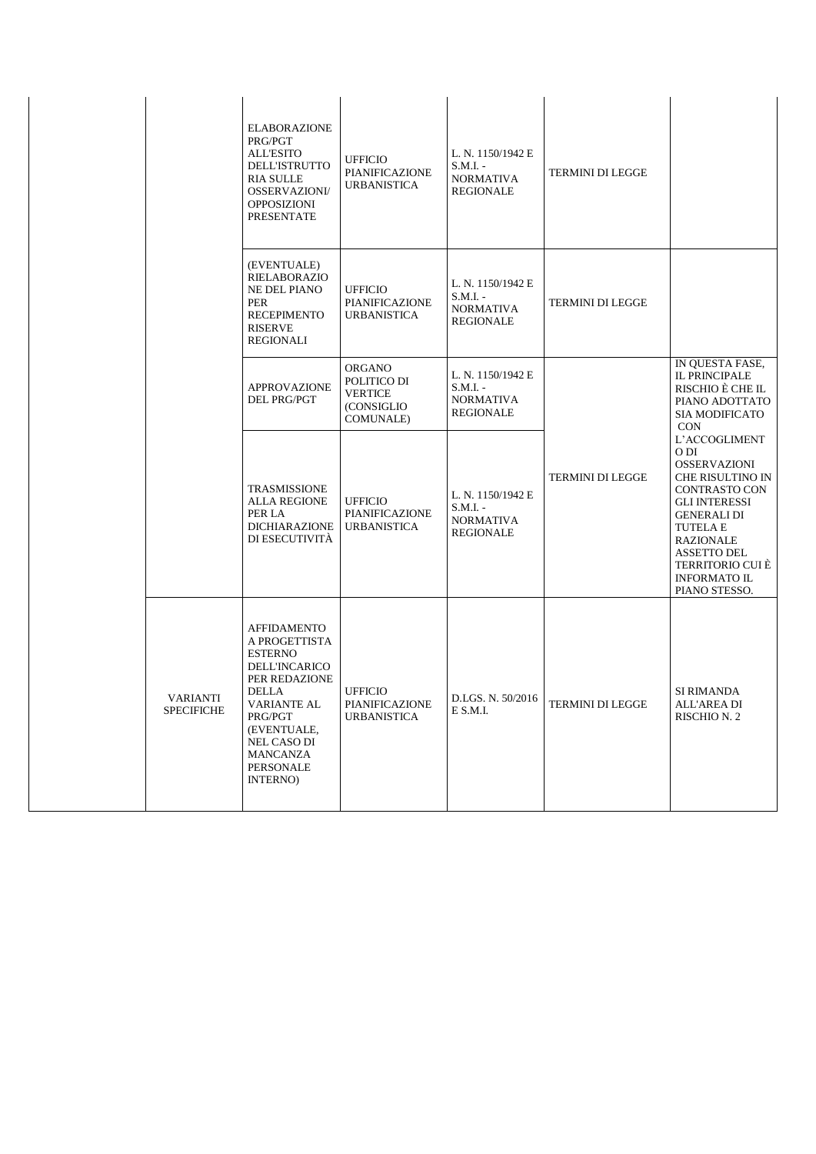|                                      | <b>ELABORAZIONE</b><br>PRG/PGT<br><b>ALL'ESITO</b><br><b>DELL'ISTRUTTO</b><br><b>RIA SULLE</b><br><b>OSSERVAZIONI/</b><br><b>OPPOSIZIONI</b><br><b>PRESENTATE</b>                                                         | <b>UFFICIO</b><br>PIANIFICAZIONE<br><b>URBANISTICA</b>                            | L. N. 1150/1942 E<br>S.M.I. -<br><b>NORMATIVA</b><br>REGIONALE          | <b>TERMINI DI LEGGE</b> |                                                                                                                                                                                                                                                          |
|--------------------------------------|---------------------------------------------------------------------------------------------------------------------------------------------------------------------------------------------------------------------------|-----------------------------------------------------------------------------------|-------------------------------------------------------------------------|-------------------------|----------------------------------------------------------------------------------------------------------------------------------------------------------------------------------------------------------------------------------------------------------|
|                                      | (EVENTUALE)<br><b>RIELABORAZIO</b><br><b>NE DEL PIANO</b><br>PER<br><b>RECEPIMENTO</b><br><b>RISERVE</b><br>REGIONALI                                                                                                     | <b>UFFICIO</b><br>PIANIFICAZIONE<br><b>URBANISTICA</b>                            | L. N. 1150/1942 E<br>$S.M.I. -$<br><b>NORMATIVA</b><br>REGIONALE        | <b>TERMINI DI LEGGE</b> |                                                                                                                                                                                                                                                          |
|                                      | <b>APPROVAZIONE</b><br>DEL PRG/PGT                                                                                                                                                                                        | <b>ORGANO</b><br>POLITICO DI<br><b>VERTICE</b><br>(CONSIGLIO<br><b>COMUNALE</b> ) | L. N. 1150/1942 E<br>$S.M.I. -$<br>NORMATIVA<br><b>REGIONALE</b>        |                         | IN QUESTA FASE,<br><b>IL PRINCIPALE</b><br>RISCHIO È CHE IL<br>PIANO ADOTTATO<br><b>SIA MODIFICATO</b><br><b>CON</b>                                                                                                                                     |
|                                      | <b>TRASMISSIONE</b><br><b>ALLA REGIONE</b><br>PER LA<br><b>DICHIARAZIONE</b><br>DI ESECUTIVITÀ                                                                                                                            | <b>UFFICIO</b><br>PIANIFICAZIONE<br><b>URBANISTICA</b>                            | L. N. 1150/1942 E<br>$S.M.I. -$<br><b>NORMATIVA</b><br><b>REGIONALE</b> | <b>TERMINI DI LEGGE</b> | L'ACCOGLIMENT<br>O DI<br><b>OSSERVAZIONI</b><br>CHE RISULTINO IN<br><b>CONTRASTO CON</b><br><b>GLI INTERESSI</b><br><b>GENERALI DI</b><br><b>TUTELA E</b><br><b>RAZIONALE</b><br>ASSETTO DEL<br>TERRITORIO CUI È<br><b>INFORMATO IL</b><br>PIANO STESSO. |
| <b>VARIANTI</b><br><b>SPECIFICHE</b> | <b>AFFIDAMENTO</b><br>A PROGETTISTA<br><b>ESTERNO</b><br><b>DELL'INCARICO</b><br>PER REDAZIONE<br><b>DELLA</b><br><b>VARIANTE AL</b><br>PRG/PGT<br>(EVENTUALE,<br>NEL CASO DI<br><b>MANCANZA</b><br>PERSONALE<br>INTERNO) | <b>UFFICIO</b><br>PIANIFICAZIONE<br><b>URBANISTICA</b>                            | D.LGS. N. 50/2016<br>E S.M.I.                                           | <b>TERMINI DI LEGGE</b> | <b>SI RIMANDA</b><br><b>ALL'AREA DI</b><br>RISCHIO N. 2                                                                                                                                                                                                  |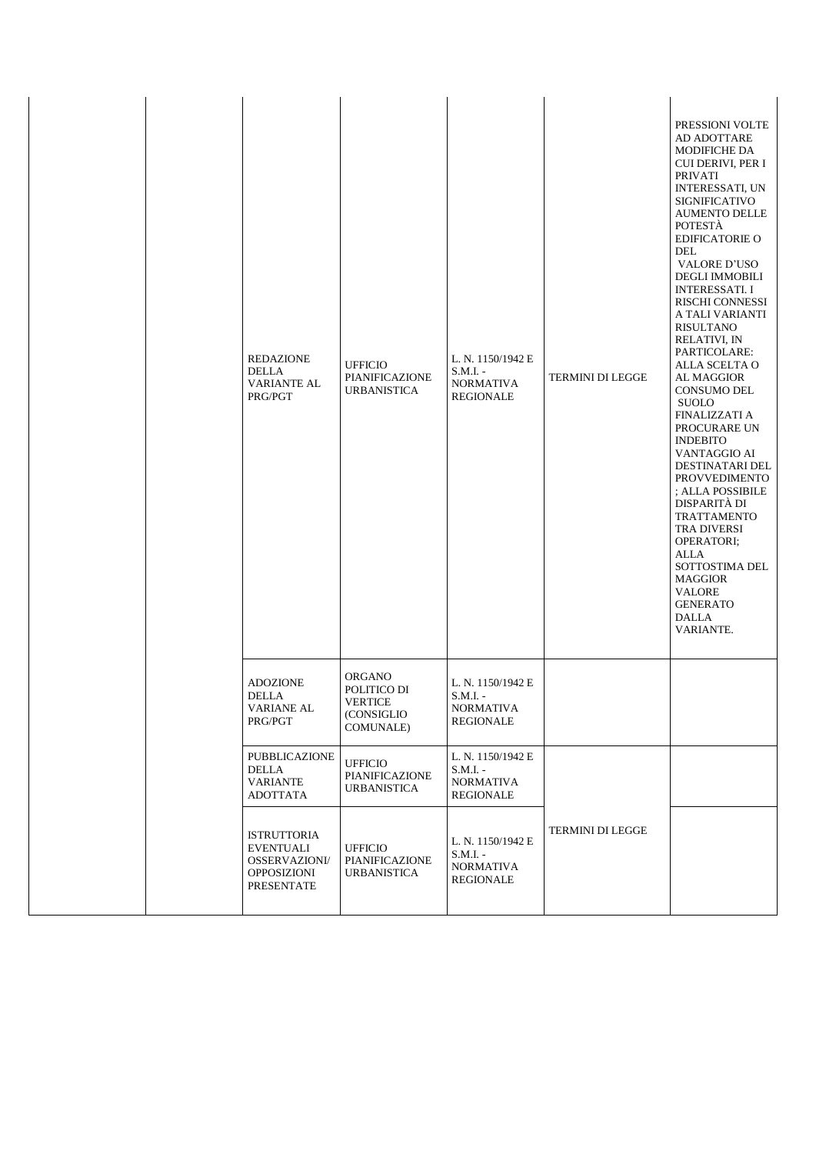| REDAZIONE<br>DELLA<br><b>VARIANTE AL</b><br>PRG/PGT                                  | <b>UFFICIO</b><br>PIANIFICAZIONE<br><b>URBANISTICA</b>                     | L. N. 1150/1942 E<br>$S.M.I. -$<br><b>NORMATIVA</b><br>REGIONALE | TERMINI DI LEGGE | PRESSIONI VOLTE<br>AD ADOTTARE<br><b>MODIFICHE DA</b><br>CUI DERIVI, PER I<br><b>PRIVATI</b><br><b>INTERESSATI, UN</b><br><b>SIGNIFICATIVO</b><br><b>AUMENTO DELLE</b><br>POTESTÀ<br><b>EDIFICATORIE O</b><br><b>DEL</b><br><b>VALORE D'USO</b><br><b>DEGLI IMMOBILI</b><br><b>INTERESSATI. I</b><br>RISCHI CONNESSI<br>A TALI VARIANTI<br>RISULTANO<br>RELATIVI, IN<br>PARTICOLARE:<br>ALLA SCELTA O<br><b>AL MAGGIOR</b><br><b>CONSUMO DEL</b><br><b>SUOLO</b><br><b>FINALIZZATI A</b><br>PROCURARE UN<br><b>INDEBITO</b><br>VANTAGGIO AI<br>DESTINATARI DEL<br><b>PROVVEDIMENTO</b><br>; ALLA POSSIBILE<br>DISPARITÀ DI<br><b>TRATTAMENTO</b><br>TRA DIVERSI<br>OPERATORI;<br>ALLA<br>SOTTOSTIMA DEL<br><b>MAGGIOR</b><br><b>VALORE</b><br><b>GENERATO</b><br><b>DALLA</b><br>VARIANTE. |
|--------------------------------------------------------------------------------------|----------------------------------------------------------------------------|------------------------------------------------------------------|------------------|--------------------------------------------------------------------------------------------------------------------------------------------------------------------------------------------------------------------------------------------------------------------------------------------------------------------------------------------------------------------------------------------------------------------------------------------------------------------------------------------------------------------------------------------------------------------------------------------------------------------------------------------------------------------------------------------------------------------------------------------------------------------------------------------|
| <b>ADOZIONE</b><br>DELLA<br><b>VARIANE AL</b><br>PRG/PGT                             | ORGANO<br>POLITICO DI<br><b>VERTICE</b><br>(CONSIGLIO<br><b>COMUNALE</b> ) | L. N. 1150/1942 E<br>$S.M.I. -$<br><b>NORMATIVA</b><br>REGIONALE |                  |                                                                                                                                                                                                                                                                                                                                                                                                                                                                                                                                                                                                                                                                                                                                                                                            |
| PUBBLICAZIONE<br><b>DELLA</b><br><b>VARIANTE</b><br>ADOTTATA                         | <b>UFFICIO</b><br>PIANIFICAZIONE<br>URBANISTICA                            | L. N. 1150/1942 E<br>$S.M.I. -$<br><b>NORMATIVA</b><br>REGIONALE |                  |                                                                                                                                                                                                                                                                                                                                                                                                                                                                                                                                                                                                                                                                                                                                                                                            |
| <b>ISTRUTTORIA</b><br>EVENTUALI<br><b>OSSERVAZIONI/</b><br>OPPOSIZIONI<br>PRESENTATE | <b>UFFICIO</b><br>PIANIFICAZIONE<br><b>URBANISTICA</b>                     | L. N. 1150/1942 E<br>$S.M.I. -$<br><b>NORMATIVA</b><br>REGIONALE | TERMINI DI LEGGE |                                                                                                                                                                                                                                                                                                                                                                                                                                                                                                                                                                                                                                                                                                                                                                                            |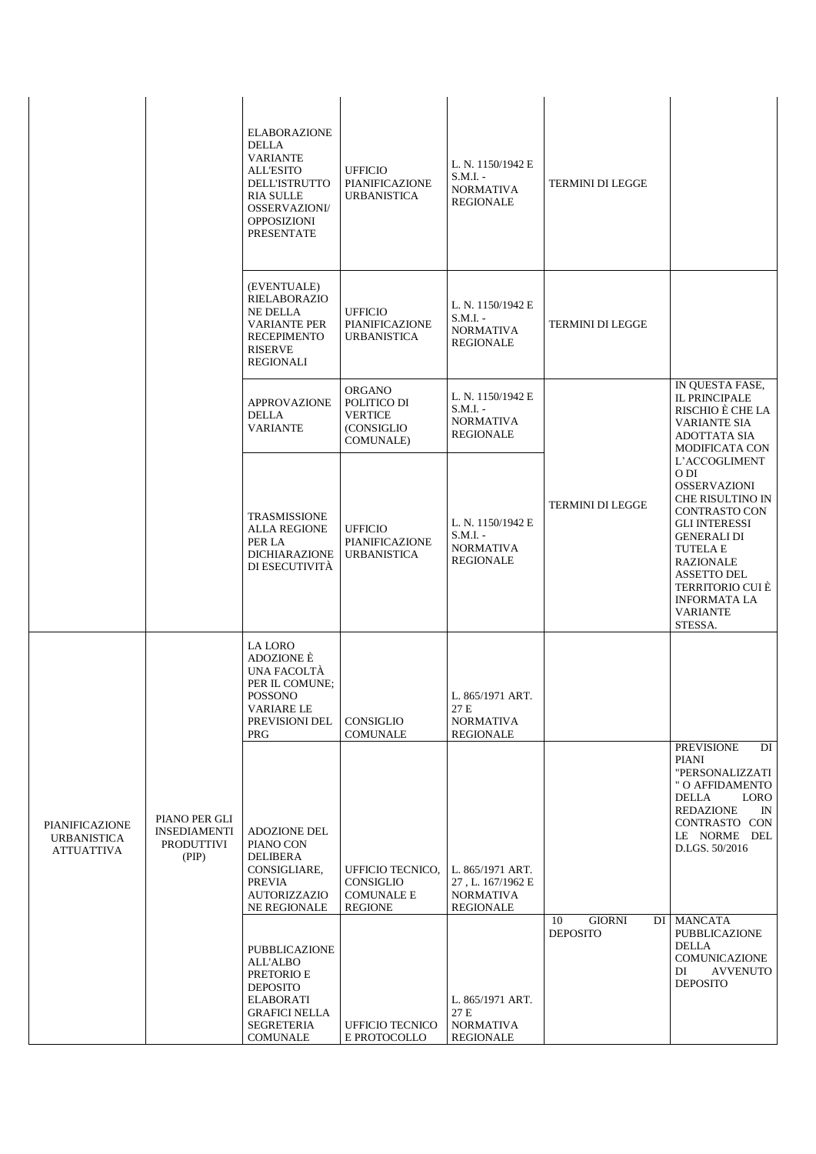|                                                           |                                                                    | <b>ELABORAZIONE</b><br><b>DELLA</b><br><b>VARIANTE</b><br><b>ALL'ESITO</b><br><b>DELL'ISTRUTTO</b><br><b>RIA SULLE</b><br><b>OSSERVAZIONI/</b><br><b>OPPOSIZIONI</b><br><b>PRESENTATE</b> | <b>UFFICIO</b><br>PIANIFICAZIONE<br><b>URBANISTICA</b>                            | L. N. 1150/1942 E<br>$S.M.I. -$<br><b>NORMATIVA</b><br>REGIONALE              | TERMINI DI LEGGE                       |                                                                                                                                                                                                                                                                                     |
|-----------------------------------------------------------|--------------------------------------------------------------------|-------------------------------------------------------------------------------------------------------------------------------------------------------------------------------------------|-----------------------------------------------------------------------------------|-------------------------------------------------------------------------------|----------------------------------------|-------------------------------------------------------------------------------------------------------------------------------------------------------------------------------------------------------------------------------------------------------------------------------------|
|                                                           |                                                                    | (EVENTUALE)<br><b>RIELABORAZIO</b><br><b>NE DELLA</b><br><b>VARIANTE PER</b><br><b>RECEPIMENTO</b><br><b>RISERVE</b><br><b>REGIONALI</b>                                                  | <b>UFFICIO</b><br>PIANIFICAZIONE<br><b>URBANISTICA</b>                            | L. N. 1150/1942 E<br>S.M.I. -<br><b>NORMATIVA</b><br>REGIONALE                | TERMINI DI LEGGE                       |                                                                                                                                                                                                                                                                                     |
|                                                           |                                                                    | <b>APPROVAZIONE</b><br><b>DELLA</b><br><b>VARIANTE</b>                                                                                                                                    | <b>ORGANO</b><br>POLITICO DI<br><b>VERTICE</b><br>(CONSIGLIO<br><b>COMUNALE</b> ) | L. N. 1150/1942 E<br>$S.M.I. -$<br><b>NORMATIVA</b><br>REGIONALE              |                                        | IN QUESTA FASE,<br><b>IL PRINCIPALE</b><br>RISCHIO È CHE LA<br><b>VARIANTE SIA</b><br><b>ADOTTATA SIA</b><br><b>MODIFICATA CON</b>                                                                                                                                                  |
|                                                           |                                                                    | <b>TRASMISSIONE</b><br><b>ALLA REGIONE</b><br>PER LA<br><b>DICHIARAZIONE</b><br>DI ESECUTIVITÀ                                                                                            | <b>UFFICIO</b><br>PIANIFICAZIONE<br><b>URBANISTICA</b>                            | L. N. 1150/1942 E<br>$S.M.I. -$<br><b>NORMATIVA</b><br><b>REGIONALE</b>       | TERMINI DI LEGGE                       | L'ACCOGLIMENT<br>O DI<br><b>OSSERVAZIONI</b><br><b>CHE RISULTINO IN</b><br><b>CONTRASTO CON</b><br><b>GLI INTERESSI</b><br><b>GENERALI DI</b><br><b>TUTELA E</b><br><b>RAZIONALE</b><br><b>ASSETTO DEL</b><br>TERRITORIO CUI È<br><b>INFORMATA LA</b><br><b>VARIANTE</b><br>STESSA. |
|                                                           |                                                                    | LA LORO<br>ADOZIONE È<br>UNA FACOLTÀ<br>PER IL COMUNE;<br><b>POSSONO</b><br>VARIARE LE<br>PREVISIONI DEL<br><b>PRG</b>                                                                    | CONSIGLIO<br><b>COMUNALE</b>                                                      | L. 865/1971 ART.<br>27 E<br>NORMATIVA<br><b>REGIONALE</b>                     |                                        |                                                                                                                                                                                                                                                                                     |
| PIANIFICAZIONE<br><b>URBANISTICA</b><br><b>ATTUATTIVA</b> | PIANO PER GLI<br><b>INSEDIAMENTI</b><br><b>PRODUTTIVI</b><br>(PIP) | <b>ADOZIONE DEL</b><br>PIANO CON<br><b>DELIBERA</b><br>CONSIGLIARE,<br><b>PREVIA</b><br><b>AUTORIZZAZIO</b><br>NE REGIONALE                                                               | UFFICIO TECNICO,<br><b>CONSIGLIO</b><br><b>COMUNALE E</b><br><b>REGIONE</b>       | L. 865/1971 ART.<br>27, L. 167/1962 E<br><b>NORMATIVA</b><br><b>REGIONALE</b> |                                        | <b>PREVISIONE</b><br>DI<br>PIANI<br>"PERSONALIZZATI<br>" O AFFIDAMENTO<br><b>DELLA</b><br>LORO<br><b>REDAZIONE</b><br>IN<br>CONTRASTO CON<br>LE NORME DEL<br>D.LGS. 50/2016                                                                                                         |
|                                                           |                                                                    | PUBBLICAZIONE<br><b>ALL'ALBO</b><br>PRETORIO E<br><b>DEPOSITO</b><br><b>ELABORATI</b><br><b>GRAFICI NELLA</b><br><b>SEGRETERIA</b><br><b>COMUNALE</b>                                     | <b>UFFICIO TECNICO</b><br>E PROTOCOLLO                                            | L. 865/1971 ART.<br>27 E<br><b>NORMATIVA</b><br><b>REGIONALE</b>              | 10<br><b>GIORNI</b><br><b>DEPOSITO</b> | DI MANCATA<br>PUBBLICAZIONE<br><b>DELLA</b><br><b>COMUNICAZIONE</b><br><b>AVVENUTO</b><br>DI<br><b>DEPOSITO</b>                                                                                                                                                                     |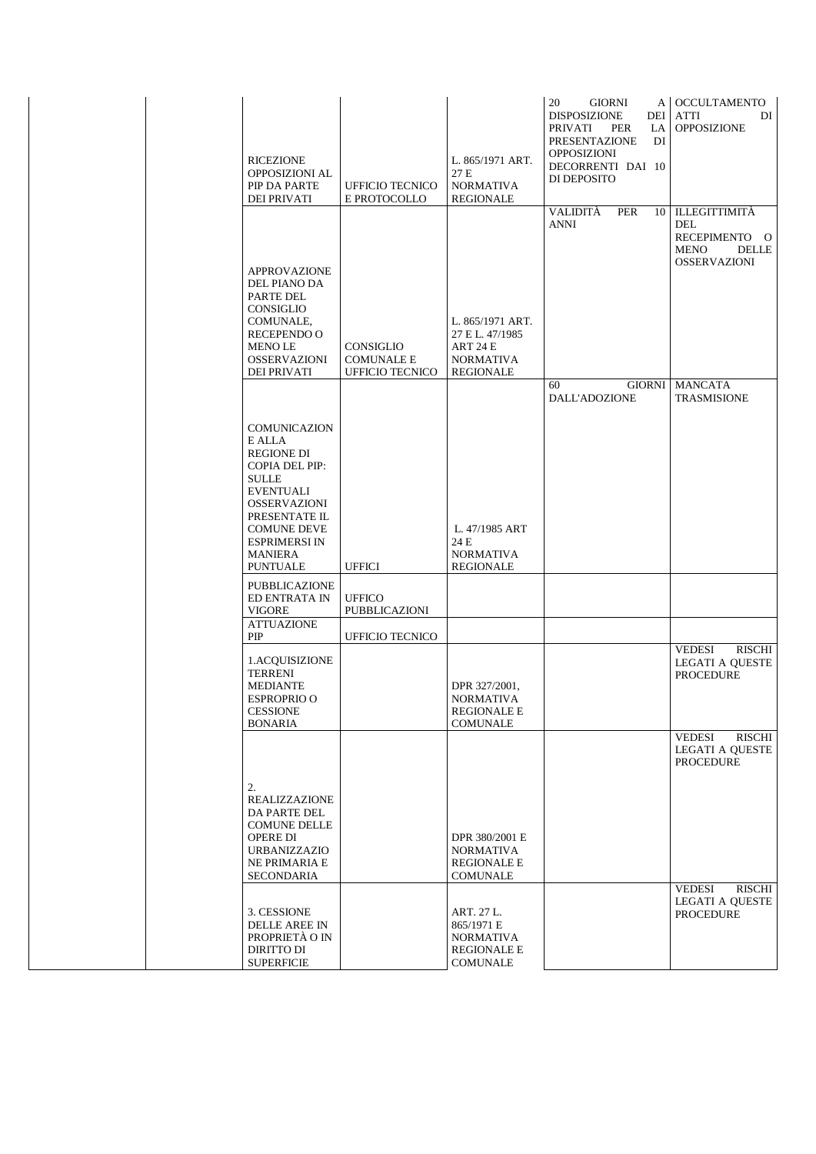| <b>RICEZIONE</b><br>OPPOSIZIONI AL<br>PIP DA PARTE<br><b>DEI PRIVATI</b>                                                                                                                                                                   | <b>UFFICIO TECNICO</b><br>E PROTOCOLLO                   | L. 865/1971 ART.<br>27 E<br><b>NORMATIVA</b><br>REGIONALE                        | 20<br>GIORNI<br><b>DISPOSIZIONE</b><br>DEI<br>PRIVATI<br>PER<br>LA<br><b>PRESENTAZIONE</b><br>DI<br>OPPOSIZIONI<br>DECORRENTI DAI 10<br>DI DEPOSITO | A   OCCULTAMENTO<br><b>ATTI</b><br>DI<br><b>OPPOSIZIONE</b>                                        |
|--------------------------------------------------------------------------------------------------------------------------------------------------------------------------------------------------------------------------------------------|----------------------------------------------------------|----------------------------------------------------------------------------------|-----------------------------------------------------------------------------------------------------------------------------------------------------|----------------------------------------------------------------------------------------------------|
| <b>APPROVAZIONE</b><br>DEL PIANO DA<br>PARTE DEL<br>CONSIGLIO<br>COMUNALE,<br><b>RECEPENDO O</b><br>MENO LE<br><b>OSSERVAZIONI</b><br><b>DEI PRIVATI</b>                                                                                   | CONSIGLIO<br><b>COMUNALE E</b><br><b>UFFICIO TECNICO</b> | L. 865/1971 ART.<br>27 E L. 47/1985<br>ART 24 E<br><b>NORMATIVA</b><br>REGIONALE | VALIDITÀ<br><b>PER</b><br>10<br><b>ANNI</b>                                                                                                         | <b>ILLEGITTIMITÀ</b><br>DEL<br>RECEPIMENTO O<br><b>DELLE</b><br><b>MENO</b><br><b>OSSERVAZIONI</b> |
| <b>COMUNICAZION</b><br>E ALLA<br><b>REGIONE DI</b><br><b>COPIA DEL PIP:</b><br><b>SULLE</b><br><b>EVENTUALI</b><br><b>OSSERVAZIONI</b><br>PRESENTATE IL<br><b>COMUNE DEVE</b><br><b>ESPRIMERSI IN</b><br><b>MANIERA</b><br><b>PUNTUALE</b> | <b>UFFICI</b>                                            | L. 47/1985 ART<br>24 E<br><b>NORMATIVA</b><br><b>REGIONALE</b>                   | <b>GIORNI</b><br>60<br>DALL'ADOZIONE                                                                                                                | <b>MANCATA</b><br><b>TRASMISIONE</b>                                                               |
| PUBBLICAZIONE<br>ED ENTRATA IN<br><b>VIGORE</b>                                                                                                                                                                                            | <b>UFFICO</b><br>PUBBLICAZIONI                           |                                                                                  |                                                                                                                                                     |                                                                                                    |
| <b>ATTUAZIONE</b><br>PIP                                                                                                                                                                                                                   | <b>UFFICIO TECNICO</b>                                   |                                                                                  |                                                                                                                                                     |                                                                                                    |
| 1.ACQUISIZIONE<br><b>TERRENI</b><br><b>MEDIANTE</b><br><b>ESPROPRIO O</b><br><b>CESSIONE</b><br><b>BONARIA</b>                                                                                                                             |                                                          | DPR 327/2001,<br><b>NORMATIVA</b><br><b>REGIONALE E</b><br><b>COMUNALE</b>       |                                                                                                                                                     | <b>VEDESI</b><br>RISCHI<br><b>LEGATI A QUESTE</b><br><b>PROCEDURE</b>                              |
| 2.<br>REALIZZAZIONE<br><b>DA PARTE DEL</b><br><b>COMUNE DELLE</b><br>OPERE DI<br><b>URBANIZZAZIO</b><br>NE PRIMARIA E<br>SECONDARIA                                                                                                        |                                                          | DPR 380/2001 E<br>NORMATIVA<br><b>REGIONALE E</b><br><b>COMUNALE</b>             |                                                                                                                                                     | RISCHI<br>VEDESI<br><b>LEGATI A QUESTE</b><br><b>PROCEDURE</b>                                     |
| 3. CESSIONE<br>DELLE AREE IN<br>PROPRIETÀ O IN<br><b>DIRITTO DI</b><br><b>SUPERFICIE</b>                                                                                                                                                   |                                                          | ART. 27 L.<br>865/1971 E<br>NORMATIVA<br><b>REGIONALE E</b><br><b>COMUNALE</b>   |                                                                                                                                                     | RISCHI<br>VEDESI<br>LEGATI A QUESTE<br><b>PROCEDURE</b>                                            |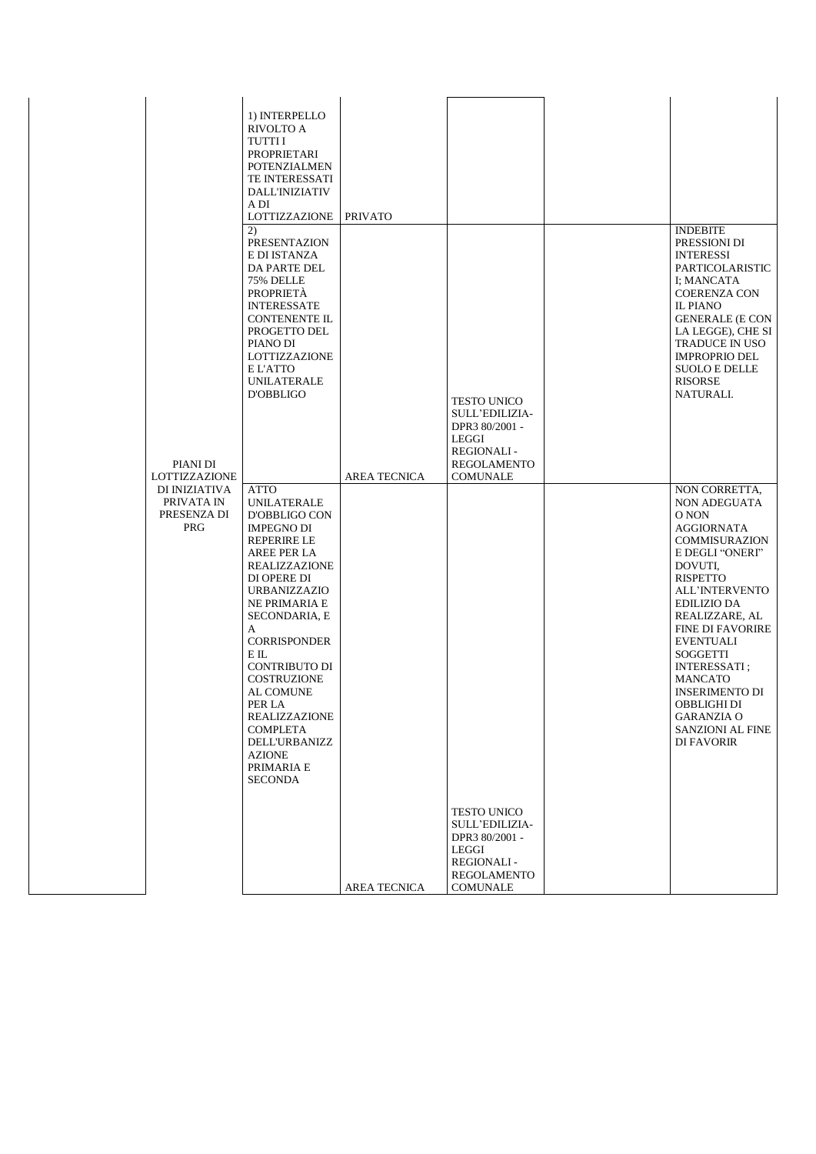|                                                          | 1) INTERPELLO<br>RIVOLTO A<br>TUTTI I<br>PROPRIETARI<br><b>POTENZIALMEN</b><br><b>TE INTERESSATI</b><br><b>DALL'INIZIATIV</b><br>A DI<br>LOTTIZZAZIONE<br>2)<br>PRESENTAZION<br>E DI ISTANZA<br>DA PARTE DEL<br>75% DELLE<br><b>PROPRIETÀ</b>                                                                                                                                                  | <b>PRIVATO</b> |                                                                                                                                      | <b>INDEBITE</b><br>PRESSIONI DI<br><b>INTERESSI</b><br>PARTICOLARISTIC<br>I: MANCATA<br><b>COERENZA CON</b>                                                                                                                                                                                                                                                                                 |
|----------------------------------------------------------|------------------------------------------------------------------------------------------------------------------------------------------------------------------------------------------------------------------------------------------------------------------------------------------------------------------------------------------------------------------------------------------------|----------------|--------------------------------------------------------------------------------------------------------------------------------------|---------------------------------------------------------------------------------------------------------------------------------------------------------------------------------------------------------------------------------------------------------------------------------------------------------------------------------------------------------------------------------------------|
| PIANI DI<br>LOTTIZZAZIONE                                | <b>INTERESSATE</b><br><b>CONTENENTE IL</b><br>PROGETTO DEL<br>PIANO DI<br>LOTTIZZAZIONE<br>E L'ATTO<br>UNILATERALE<br><b>D'OBBLIGO</b>                                                                                                                                                                                                                                                         | AREA TECNICA   | <b>TESTO UNICO</b><br><b>SULL'EDILIZIA-</b><br>DPR3 80/2001 -<br>LEGGI<br><b>REGIONALI-</b><br><b>REGOLAMENTO</b><br><b>COMUNALE</b> | <b>IL PIANO</b><br><b>GENERALE (E CON</b><br>LA LEGGE), CHE SI<br>TRADUCE IN USO<br><b>IMPROPRIO DEL</b><br><b>SUOLO E DELLE</b><br><b>RISORSE</b><br>NATURALI.                                                                                                                                                                                                                             |
| DI INIZIATIVA<br>PRIVATA IN<br>PRESENZA DI<br><b>PRG</b> | ATTO<br><b>UNILATERALE</b><br>D'OBBLIGO CON<br><b>IMPEGNO DI</b><br><b>REPERIRE LE</b><br>AREE PER LA<br>REALIZZAZIONE<br>DI OPERE DI<br><b>URBANIZZAZIO</b><br><b>NE PRIMARIA E</b><br>SECONDARIA, E<br>A<br><b>CORRISPONDER</b><br>ЕIL<br>CONTRIBUTO DI<br>COSTRUZIONE<br>AL COMUNE<br>PER LA<br>REALIZZAZIONE<br>COMPLETA<br><b>DELL'URBANIZZ</b><br>AZIONE<br>PRIMARIA E<br><b>SECONDA</b> |                |                                                                                                                                      | NON CORRETTA,<br>NON ADEGUATA<br>O NON<br><b>AGGIORNATA</b><br>COMMISURAZION<br>E DEGLI "ONERI"<br>DOVUTI,<br><b>RISPETTO</b><br>ALL'INTERVENTO<br><b>EDILIZIO DA</b><br>REALIZZARE, AL<br><b>FINE DI FAVORIRE</b><br><b>EVENTUALI</b><br><b>SOGGETTI</b><br><b>INTERESSATI</b> ;<br><b>MANCATO</b><br><b>INSERIMENTO DI</b><br>OBBLIGHI DI<br>GARANZIA O<br>SANZIONI AL FINE<br>DI FAVORIR |
|                                                          |                                                                                                                                                                                                                                                                                                                                                                                                | AREA TECNICA   | <b>TESTO UNICO</b><br><b>SULL'EDILIZIA-</b><br>DPR3 80/2001 -<br>LEGGI<br><b>REGIONALI-</b><br>REGOLAMENTO<br>COMUNALE               |                                                                                                                                                                                                                                                                                                                                                                                             |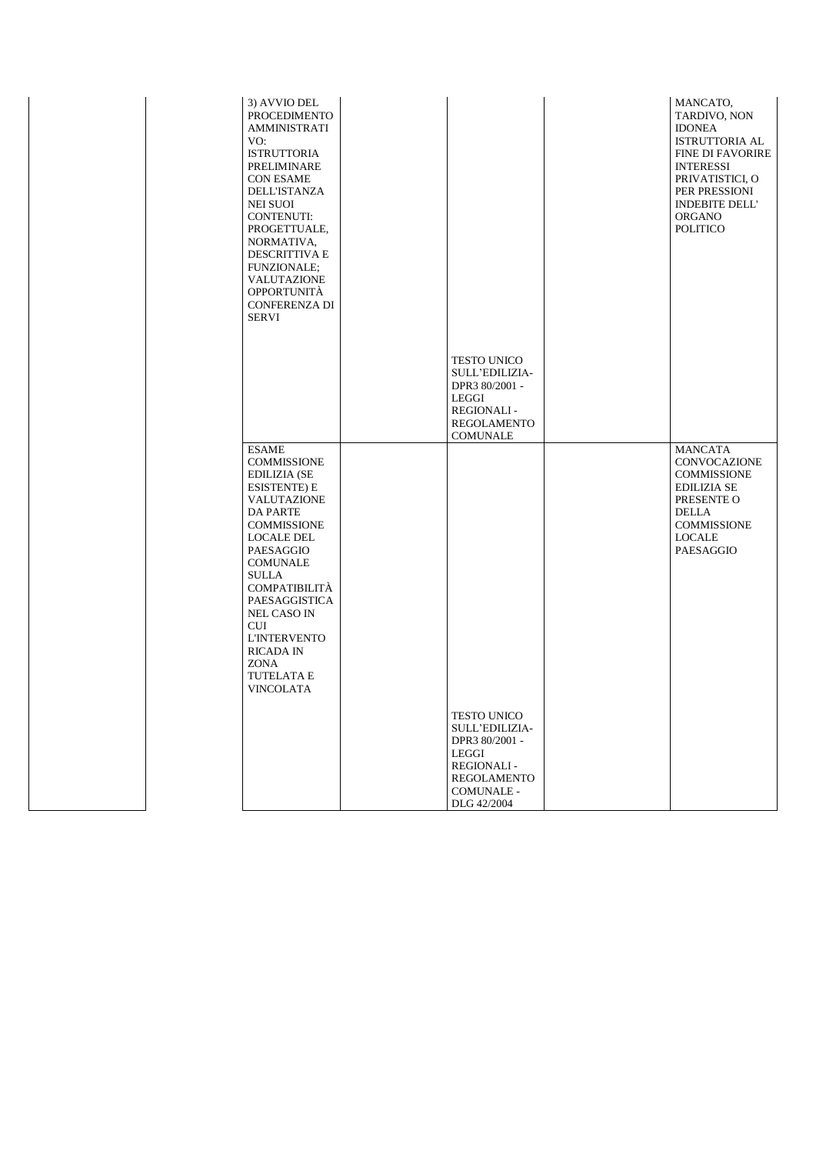| 3) AVVIO DEL<br><b>PROCEDIMENTO</b><br><b>AMMINISTRATI</b><br>VO:<br><b>ISTRUTTORIA</b><br>PRELIMINARE<br><b>CON ESAME</b><br><b>DELL'ISTANZA</b><br><b>NEI SUOI</b><br><b>CONTENUTI:</b><br>PROGETTUALE,<br>NORMATIVA,<br><b>DESCRITTIVA E</b><br>FUNZIONALE;<br>VALUTAZIONE<br><b>OPPORTUNITÀ</b><br><b>CONFERENZA DI</b><br><b>SERVI</b>                              |                                                                                                                                                | MANCATO,<br>TARDIVO, NON<br><b>IDONEA</b><br><b>ISTRUTTORIA AL</b><br><b>FINE DI FAVORIRE</b><br><b>INTERESSI</b><br>PRIVATISTICI, O<br>PER PRESSIONI<br><b>INDEBITE DELL'</b><br>ORGANO<br>POLITICO |
|--------------------------------------------------------------------------------------------------------------------------------------------------------------------------------------------------------------------------------------------------------------------------------------------------------------------------------------------------------------------------|------------------------------------------------------------------------------------------------------------------------------------------------|------------------------------------------------------------------------------------------------------------------------------------------------------------------------------------------------------|
|                                                                                                                                                                                                                                                                                                                                                                          | <b>TESTO UNICO</b><br><b>SULL'EDILIZIA-</b><br>DPR3 80/2001 -<br>LEGGI<br><b>REGIONALI-</b><br><b>REGOLAMENTO</b><br>COMUNALE                  |                                                                                                                                                                                                      |
| <b>ESAME</b><br><b>COMMISSIONE</b><br><b>EDILIZIA (SE</b><br><b>ESISTENTE) E</b><br>VALUTAZIONE<br>DA PARTE<br><b>COMMISSIONE</b><br><b>LOCALE DEL</b><br>PAESAGGIO<br><b>COMUNALE</b><br><b>SULLA</b><br><b>COMPATIBILITÀ</b><br>PAESAGGISTICA<br><b>NEL CASO IN</b><br><b>CUI</b><br><b>L'INTERVENTO</b><br><b>RICADA IN</b><br>ZONA<br><b>TUTELATA E</b><br>VINCOLATA |                                                                                                                                                | <b>MANCATA</b><br>CONVOCAZIONE<br><b>COMMISSIONE</b><br><b>EDILIZIA SE</b><br>PRESENTE O<br>DELLA<br><b>COMMISSIONE</b><br>LOCALE<br>PAESAGGIO                                                       |
|                                                                                                                                                                                                                                                                                                                                                                          | <b>TESTO UNICO</b><br>SULL'EDILIZIA-<br>DPR3 80/2001 -<br>LEGGI<br><b>REGIONALI-</b><br><b>REGOLAMENTO</b><br><b>COMUNALE -</b><br>DLG 42/2004 |                                                                                                                                                                                                      |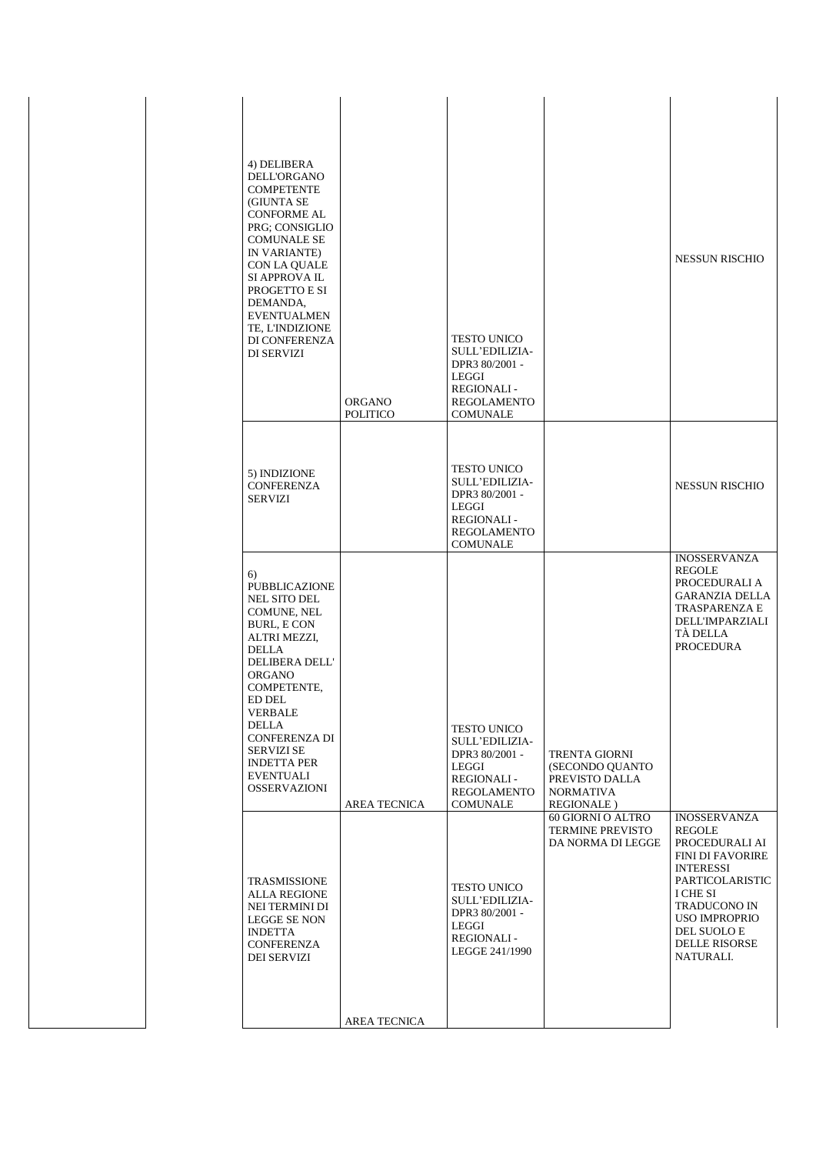| 4) DELIBERA<br>DELL'ORGANO<br><b>COMPETENTE</b><br>(GIUNTA SE<br><b>CONFORME AL</b><br>PRG; CONSIGLIO<br><b>COMUNALE SE</b><br>IN VARIANTE)<br>CON LA QUALE<br>SI APPROVA IL<br>PROGETTO E SI<br>DEMANDA,<br><b>EVENTUALMEN</b><br>TE, L'INDIZIONE<br>DI CONFERENZA<br><b>DI SERVIZI</b>                                                  | ORGANO<br>POLITICO  | <b>TESTO UNICO</b><br>SULL'EDILIZIA-<br>DPR3 80/2001 -<br>LEGGI<br><b>REGIONALI-</b><br><b>REGOLAMENTO</b><br><b>COMUNALE</b> |                                                                                                     | <b>NESSUN RISCHIO</b>                                                                                                                                                                                                            |
|-------------------------------------------------------------------------------------------------------------------------------------------------------------------------------------------------------------------------------------------------------------------------------------------------------------------------------------------|---------------------|-------------------------------------------------------------------------------------------------------------------------------|-----------------------------------------------------------------------------------------------------|----------------------------------------------------------------------------------------------------------------------------------------------------------------------------------------------------------------------------------|
| 5) INDIZIONE<br><b>CONFERENZA</b><br><b>SERVIZI</b>                                                                                                                                                                                                                                                                                       |                     | <b>TESTO UNICO</b><br>SULL'EDILIZIA-<br>DPR3 80/2001 -<br>LEGGI<br><b>REGIONALI-</b><br><b>REGOLAMENTO</b><br><b>COMUNALE</b> |                                                                                                     | <b>NESSUN RISCHIO</b>                                                                                                                                                                                                            |
| 6)<br><b>PUBBLICAZIONE</b><br><b>NEL SITO DEL</b><br>COMUNE, NEL<br><b>BURL, E CON</b><br><b>ALTRI MEZZI,</b><br><b>DELLA</b><br><b>DELIBERA DELL'</b><br><b>ORGANO</b><br>COMPETENTE,<br>ED DEL<br><b>VERBALE</b><br><b>DELLA</b><br><b>CONFERENZA DI</b><br><b>SERVIZI SE</b><br><b>INDETTA PER</b><br>EVENTUALI<br><b>OSSERVAZIONI</b> | <b>AREA TECNICA</b> | <b>TESTO UNICO</b><br>SULL'EDILIZIA-<br>DPR3 80/2001 -<br>LEGGI<br><b>REGIONALI-</b><br><b>REGOLAMENTO</b><br>COMUNALE        | <b>TRENTA GIORNI</b><br>(SECONDO QUANTO<br>PREVISTO DALLA<br><b>NORMATIVA</b><br><b>REGIONALE</b> ) | <b>INOSSERVANZA</b><br><b>REGOLE</b><br>PROCEDURALI A<br><b>GARANZIA DELLA</b><br>TRASPARENZA E<br>DELL'IMPARZIALI<br><b>TÀ DELLA</b><br><b>PROCEDURA</b>                                                                        |
| TRASMISSIONE<br><b>ALLA REGIONE</b><br>NEI TERMINI DI<br>LEGGE SE NON<br><b>INDETTA</b><br>CONFERENZA<br><b>DEI SERVIZI</b>                                                                                                                                                                                                               | AREA TECNICA        | <b>TESTO UNICO</b><br><b>SULL'EDILIZIA-</b><br>DPR3 80/2001 -<br>LEGGI<br><b>REGIONALI-</b><br>LEGGE 241/1990                 | 60 GIORNI O ALTRO<br><b>TERMINE PREVISTO</b><br>DA NORMA DI LEGGE                                   | <b>INOSSERVANZA</b><br><b>REGOLE</b><br>PROCEDURALI AI<br><b>FINI DI FAVORIRE</b><br>INTERESSI<br>PARTICOLARISTIC<br>I CHE SI<br><b>TRADUCONO IN</b><br><b>USO IMPROPRIO</b><br>DEL SUOLO E<br><b>DELLE RISORSE</b><br>NATURALI. |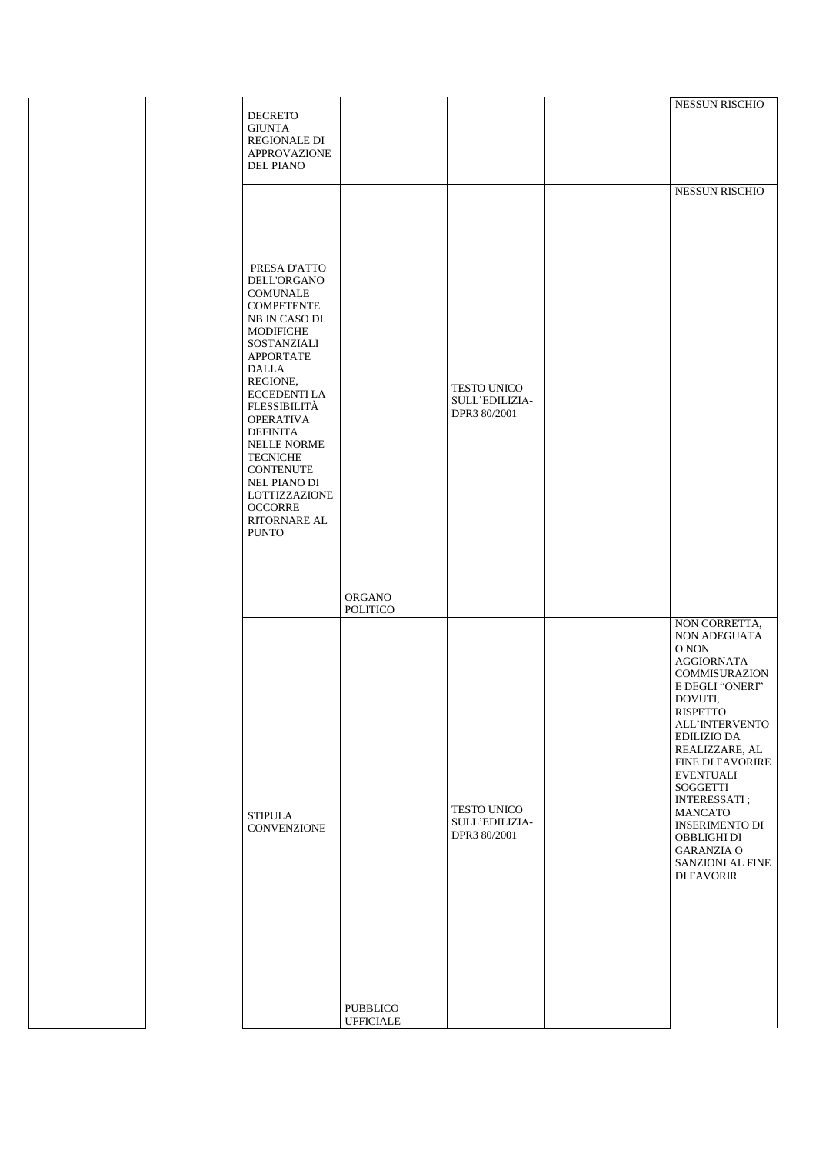| <b>DECRETO</b>                                                                                                                                                                                                                                                                                                       |                                     |                                                      | <b>NESSUN RISCHIO</b>                                                                                                                                                                                                                                                                                                                                                                                     |
|----------------------------------------------------------------------------------------------------------------------------------------------------------------------------------------------------------------------------------------------------------------------------------------------------------------------|-------------------------------------|------------------------------------------------------|-----------------------------------------------------------------------------------------------------------------------------------------------------------------------------------------------------------------------------------------------------------------------------------------------------------------------------------------------------------------------------------------------------------|
| <b>GIUNTA</b><br>REGIONALE DI<br><b>APPROVAZIONE</b><br><b>DEL PIANO</b>                                                                                                                                                                                                                                             |                                     |                                                      |                                                                                                                                                                                                                                                                                                                                                                                                           |
| PRESA D'ATTO<br><b>DELL'ORGANO</b><br><b>COMUNALE</b><br><b>COMPETENTE</b><br>NB IN CASO DI                                                                                                                                                                                                                          |                                     |                                                      |                                                                                                                                                                                                                                                                                                                                                                                                           |
| <b>MODIFICHE</b><br>SOSTANZIALI<br><b>APPORTATE</b><br><b>DALLA</b><br>REGIONE,<br><b>ECCEDENTI LA</b><br><b>FLESSIBILITÀ</b><br><b>OPERATIVA</b><br><b>DEFINITA</b><br><b>NELLE NORME</b><br><b>TECNICHE</b><br><b>CONTENUTE</b><br>NEL PIANO DI<br>LOTTIZZAZIONE<br><b>OCCORRE</b><br>RITORNARE AL<br><b>PUNTO</b> |                                     | <b>TESTO UNICO</b><br>SULL'EDILIZIA-<br>DPR3 80/2001 |                                                                                                                                                                                                                                                                                                                                                                                                           |
|                                                                                                                                                                                                                                                                                                                      | <b>ORGANO</b><br><b>POLITICO</b>    |                                                      |                                                                                                                                                                                                                                                                                                                                                                                                           |
| <b>STIPULA</b><br>CONVENZIONE                                                                                                                                                                                                                                                                                        |                                     | TESTO UNICO<br>SULL'EDILIZIA-<br>DPR3 80/2001        | NON CORRETTA,<br>NON ADEGUATA<br>O NON<br><b>AGGIORNATA</b><br><b>COMMISURAZION</b><br>E DEGLI "ONERI"<br>DOVUTI,<br>RISPETTO<br><b>ALL'INTERVENTO</b><br><b>EDILIZIO DA</b><br>REALIZZARE, AL<br>FINE DI FAVORIRE<br><b>EVENTUALI</b><br>SOGGETTI<br><b>INTERESSATI</b> ;<br><b>MANCATO</b><br><b>INSERIMENTO DI</b><br>OBBLIGHI DI<br><b>GARANZIA O</b><br><b>SANZIONI AL FINE</b><br><b>DI FAVORIR</b> |
|                                                                                                                                                                                                                                                                                                                      | <b>PUBBLICO</b><br><b>UFFICIALE</b> |                                                      |                                                                                                                                                                                                                                                                                                                                                                                                           |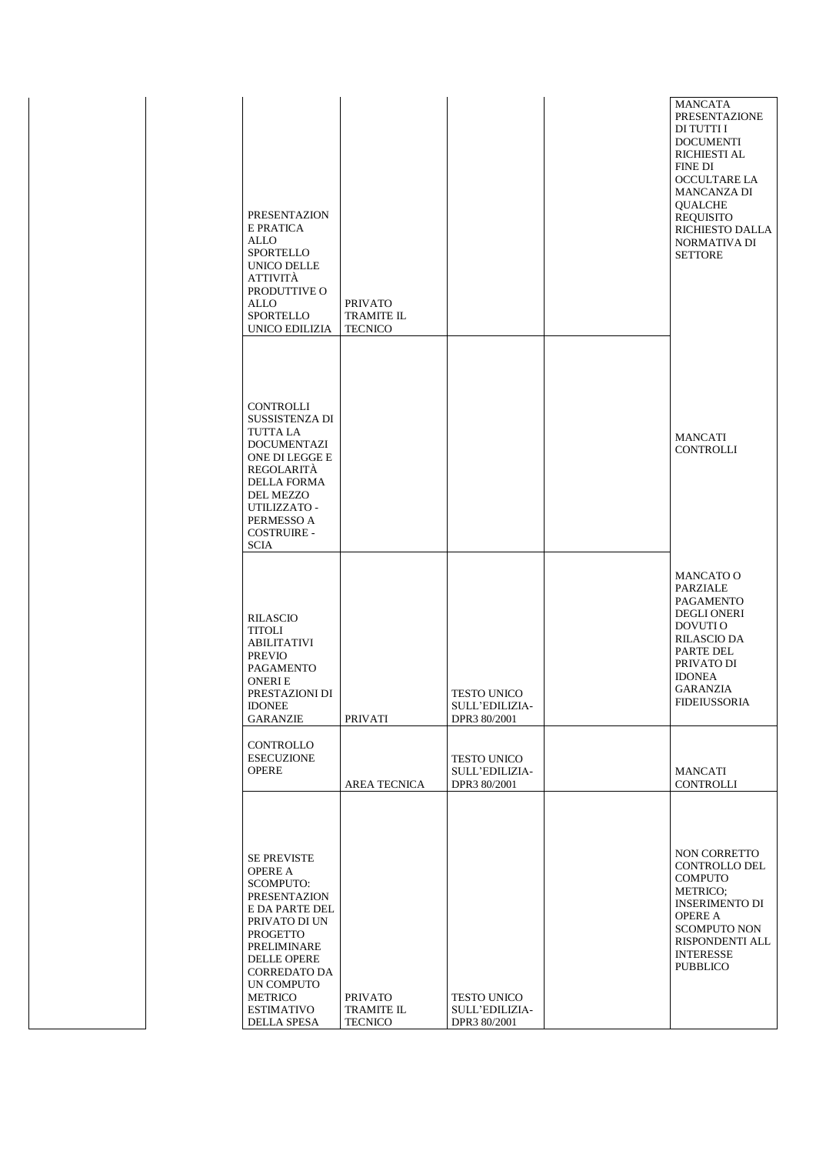| PRESENTAZION<br>E PRATICA<br>ALLO<br><b>SPORTELLO</b><br>UNICO DELLE<br>ATTIVITÀ<br>PRODUTTIVE O<br>ALLO<br><b>SPORTELLO</b><br>UNICO EDILIZIA                                                                                                          | <b>PRIVATO</b><br><b>TRAMITE IL</b><br><b>TECNICO</b> |                                                      | <b>MANCATA</b><br>PRESENTAZIONE<br>DI TUTTI I<br><b>DOCUMENTI</b><br><b>RICHIESTI AL</b><br>FINE DI<br><b>OCCULTARE LA</b><br><b>MANCANZA DI</b><br><b>QUALCHE</b><br><b>REQUISITO</b><br>RICHIESTO DALLA<br><b>NORMATIVA DI</b><br><b>SETTORE</b> |
|---------------------------------------------------------------------------------------------------------------------------------------------------------------------------------------------------------------------------------------------------------|-------------------------------------------------------|------------------------------------------------------|----------------------------------------------------------------------------------------------------------------------------------------------------------------------------------------------------------------------------------------------------|
| CONTROLLI<br><b>SUSSISTENZA DI</b><br><b>TUTTA LA</b><br><b>DOCUMENTAZI</b><br>ONE DI LEGGE E<br>REGOLARITÀ<br><b>DELLA FORMA</b><br><b>DEL MEZZO</b><br>UTILIZZATO -<br>PERMESSO A<br><b>COSTRUIRE -</b><br><b>SCIA</b>                                |                                                       |                                                      | <b>MANCATI</b><br><b>CONTROLLI</b>                                                                                                                                                                                                                 |
| <b>RILASCIO</b><br><b>TITOLI</b><br><b>ABILITATIVI</b><br><b>PREVIO</b><br>PAGAMENTO<br><b>ONERIE</b><br>PRESTAZIONI DI<br><b>IDONEE</b><br><b>GARANZIE</b>                                                                                             | <b>PRIVATI</b>                                        | <b>TESTO UNICO</b><br>SULL'EDILIZIA-<br>DPR3 80/2001 | <b>MANCATO O</b><br>PARZIALE<br><b>PAGAMENTO</b><br><b>DEGLI ONERI</b><br>DOVUTI O<br><b>RILASCIO DA</b><br>PARTE DEL<br>PRIVATO DI<br><b>IDONEA</b><br><b>GARANZIA</b><br><b>FIDEIUSSORIA</b>                                                     |
| CONTROLLO<br><b>ESECUZIONE</b><br><b>OPERE</b>                                                                                                                                                                                                          | AREA TECNICA                                          | TESTO UNICO<br>SULL'EDILIZIA-<br>DPR3 80/2001        | <b>MANCATI</b><br>CONTROLLI                                                                                                                                                                                                                        |
| <b>SE PREVISTE</b><br><b>OPERE A</b><br><b>SCOMPUTO:</b><br><b>PRESENTAZION</b><br>E DA PARTE DEL<br>PRIVATO DI UN<br><b>PROGETTO</b><br>PRELIMINARE<br><b>DELLE OPERE</b><br><b>CORREDATO DA</b><br>UN COMPUTO<br>METRICO<br>ESTIMATIVO<br>DELLA SPESA | <b>PRIVATO</b><br><b>TRAMITE IL</b><br><b>TECNICO</b> | TESTO UNICO<br>SULL'EDILIZIA-<br>DPR3 80/2001        | <b>NON CORRETTO</b><br><b>CONTROLLO DEL</b><br><b>COMPUTO</b><br>METRICO;<br><b>INSERIMENTO DI</b><br><b>OPERE A</b><br><b>SCOMPUTO NON</b><br>RISPONDENTI ALL<br><b>INTERESSE</b><br><b>PUBBLICO</b>                                              |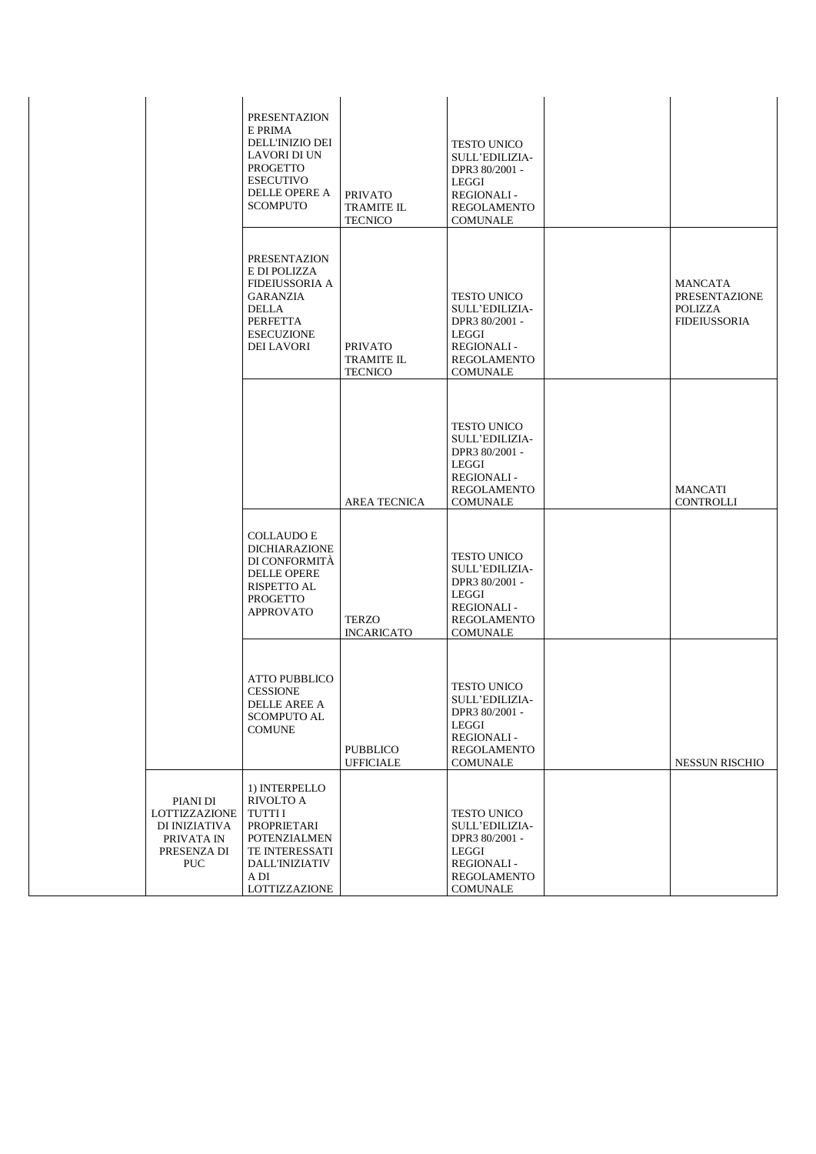|                                                                                       | <b>PRESENTAZION</b><br>E PRIMA<br>DELL'INIZIO DEI<br><b>LAVORI DI UN</b><br><b>PROGETTO</b><br><b>ESECUTIVO</b><br>DELLE OPERE A<br><b>SCOMPUTO</b>          | <b>PRIVATO</b><br><b>TRAMITE IL</b><br><b>TECNICO</b> | <b>TESTO UNICO</b><br>SULL'EDILIZIA-<br>DPR3 80/2001 -<br><b>LEGGI</b><br><b>REGIONALI-</b><br><b>REGOLAMENTO</b><br><b>COMUNALE</b> |                                                                          |
|---------------------------------------------------------------------------------------|--------------------------------------------------------------------------------------------------------------------------------------------------------------|-------------------------------------------------------|--------------------------------------------------------------------------------------------------------------------------------------|--------------------------------------------------------------------------|
|                                                                                       | <b>PRESENTAZION</b><br>E DI POLIZZA<br><b>FIDEIUSSORIA A</b><br><b>GARANZIA</b><br>DELLA<br><b>PERFETTA</b><br><b>ESECUZIONE</b><br><b>DEI LAVORI</b>        | <b>PRIVATO</b><br><b>TRAMITE IL</b><br><b>TECNICO</b> | <b>TESTO UNICO</b><br>SULL'EDILIZIA-<br>DPR3 80/2001 -<br><b>LEGGI</b><br><b>REGIONALI-</b><br><b>REGOLAMENTO</b><br><b>COMUNALE</b> | MANCATA<br><b>PRESENTAZIONE</b><br><b>POLIZZA</b><br><b>FIDEIUSSORIA</b> |
|                                                                                       |                                                                                                                                                              | <b>AREA TECNICA</b>                                   | <b>TESTO UNICO</b><br>SULL'EDILIZIA-<br>DPR3 80/2001 -<br><b>LEGGI</b><br><b>REGIONALI-</b><br><b>REGOLAMENTO</b><br><b>COMUNALE</b> | MANCATI<br><b>CONTROLLI</b>                                              |
|                                                                                       | <b>COLLAUDO E</b><br><b>DICHIARAZIONE</b><br>DI CONFORMITÀ<br><b>DELLE OPERE</b><br>RISPETTO AL<br>PROGETTO<br><b>APPROVATO</b>                              | <b>TERZO</b><br><b>INCARICATO</b>                     | <b>TESTO UNICO</b><br>SULL'EDILIZIA-<br>DPR3 80/2001 -<br><b>LEGGI</b><br><b>REGIONALI-</b><br><b>REGOLAMENTO</b><br><b>COMUNALE</b> |                                                                          |
|                                                                                       | <b>ATTO PUBBLICO</b><br><b>CESSIONE</b><br><b>DELLE AREE A</b><br>SCOMPUTO AL<br><b>COMUNE</b>                                                               | <b>PUBBLICO</b><br><b>UFFICIALE</b>                   | <b>TESTO UNICO</b><br>SULL'EDILIZIA-<br>DPR3 80/2001 -<br>LEGGI<br>REGIONALI-<br>REGOLAMENTO<br><b>COMUNALE</b>                      | <b>NESSUN RISCHIO</b>                                                    |
| PIANI DI<br>LOTTIZZAZIONE<br>DI INIZIATIVA<br>PRIVATA IN<br>PRESENZA DI<br><b>PUC</b> | 1) INTERPELLO<br><b>RIVOLTO A</b><br><b>TUTTII</b><br>PROPRIETARI<br><b>POTENZIALMEN</b><br>TE INTERESSATI<br><b>DALL'INIZIATIV</b><br>A DI<br>LOTTIZZAZIONE |                                                       | <b>TESTO UNICO</b><br>SULL'EDILIZIA-<br>DPR3 80/2001 -<br><b>LEGGI</b><br><b>REGIONALI-</b><br>REGOLAMENTO<br><b>COMUNALE</b>        |                                                                          |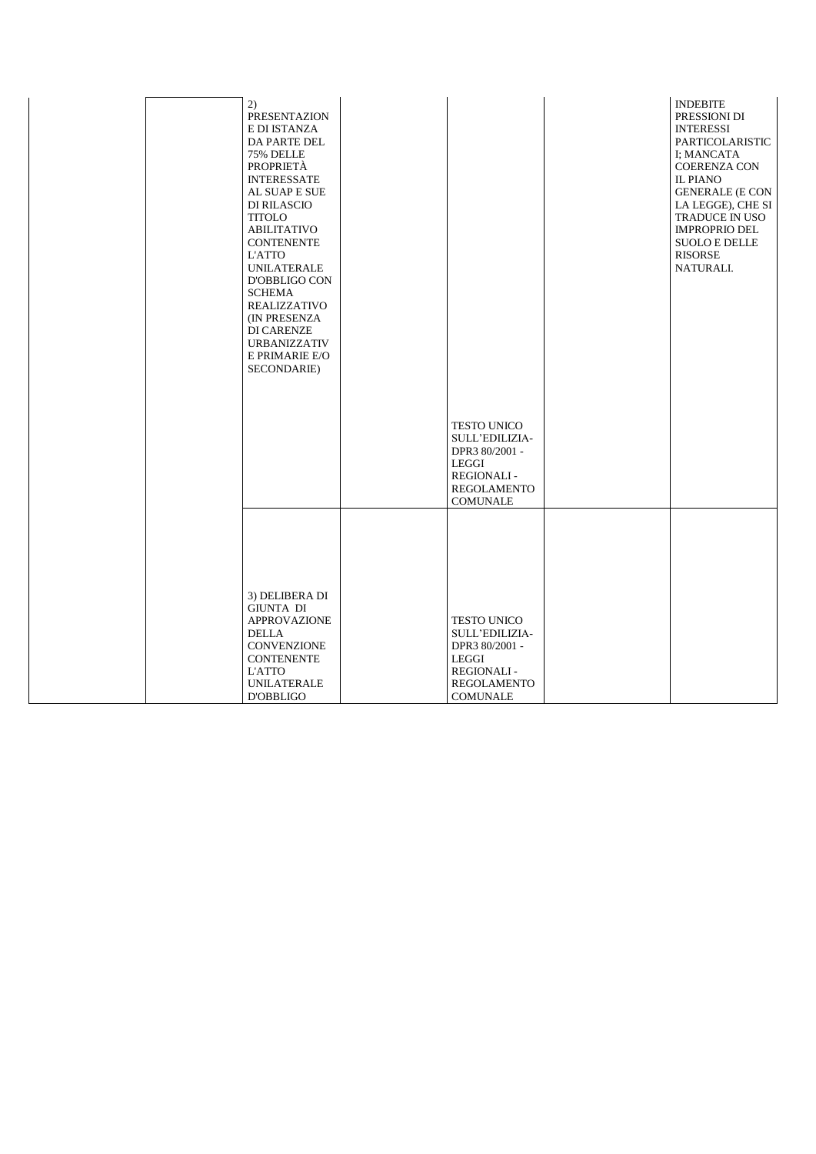| 2)<br>PRESENTAZION<br>E DI ISTANZA<br>DA PARTE DEL<br>75% DELLE<br>PROPRIETÀ<br><b>INTERESSATE</b><br>AL SUAP E SUE<br><b>DI RILASCIO</b><br><b>TITOLO</b><br><b>ABILITATIVO</b><br><b>CONTENENTE</b><br><b>L'ATTO</b><br><b>UNILATERALE</b><br>D'OBBLIGO CON<br><b>SCHEMA</b><br><b>REALIZZATIVO</b><br>(IN PRESENZA<br><b>DI CARENZE</b><br><b>URBANIZZATIV</b><br>E PRIMARIE E/O<br>SECONDARIE) |                                                                                                                                      | <b>INDEBITE</b><br>PRESSIONI DI<br><b>INTERESSI</b><br>PARTICOLARISTIC<br>I; MANCATA<br><b>COERENZA CON</b><br><b>IL PIANO</b><br><b>GENERALE (E CON</b><br>LA LEGGE), CHE SI<br>TRADUCE IN USO<br><b>IMPROPRIO DEL</b><br><b>SUOLO E DELLE</b><br><b>RISORSE</b><br>NATURALI. |
|----------------------------------------------------------------------------------------------------------------------------------------------------------------------------------------------------------------------------------------------------------------------------------------------------------------------------------------------------------------------------------------------------|--------------------------------------------------------------------------------------------------------------------------------------|--------------------------------------------------------------------------------------------------------------------------------------------------------------------------------------------------------------------------------------------------------------------------------|
|                                                                                                                                                                                                                                                                                                                                                                                                    | <b>TESTO UNICO</b><br><b>SULL'EDILIZIA-</b><br>DPR3 80/2001 -<br>LEGGI<br><b>REGIONALI-</b><br><b>REGOLAMENTO</b><br><b>COMUNALE</b> |                                                                                                                                                                                                                                                                                |
|                                                                                                                                                                                                                                                                                                                                                                                                    |                                                                                                                                      |                                                                                                                                                                                                                                                                                |
| 3) DELIBERA DI<br><b>GIUNTA DI</b><br><b>APPROVAZIONE</b><br><b>DELLA</b><br><b>CONVENZIONE</b><br><b>CONTENENTE</b><br><b>L'ATTO</b><br><b>UNILATERALE</b><br><b>D'OBBLIGO</b>                                                                                                                                                                                                                    | <b>TESTO UNICO</b><br>SULL'EDILIZIA-<br>DPR3 80/2001 -<br>LEGGI<br><b>REGIONALI-</b><br><b>REGOLAMENTO</b><br><b>COMUNALE</b>        |                                                                                                                                                                                                                                                                                |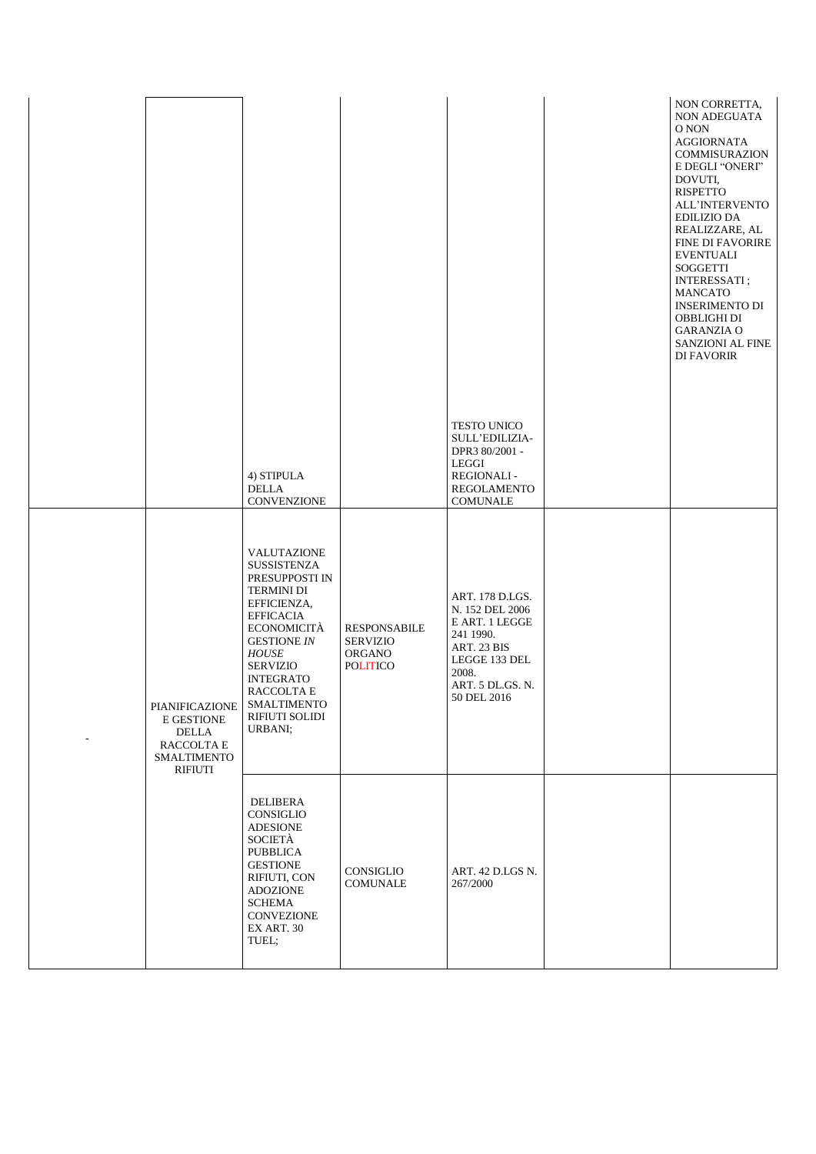|                                                                                             |                                                                                                                                                                                                                                                                   |                                                                     |                                                                                                                                               | NON CORRETTA,<br>NON ADEGUATA<br>O NON<br><b>AGGIORNATA</b><br>COMMISURAZION<br>E DEGLI "ONERI"<br>DOVUTI,<br><b>RISPETTO</b><br>ALL'INTERVENTO<br><b>EDILIZIO DA</b><br>REALIZZARE, AL<br><b>FINE DI FAVORIRE</b><br><b>EVENTUALI</b><br><b>SOGGETTI</b><br><b>INTERESSATI</b> ;<br><b>MANCATO</b><br><b>INSERIMENTO DI</b><br>OBBLIGHI DI<br><b>GARANZIA O</b><br>SANZIONI AL FINE<br><b>DI FAVORIR</b> |
|---------------------------------------------------------------------------------------------|-------------------------------------------------------------------------------------------------------------------------------------------------------------------------------------------------------------------------------------------------------------------|---------------------------------------------------------------------|-----------------------------------------------------------------------------------------------------------------------------------------------|-----------------------------------------------------------------------------------------------------------------------------------------------------------------------------------------------------------------------------------------------------------------------------------------------------------------------------------------------------------------------------------------------------------|
|                                                                                             | 4) STIPULA<br><b>DELLA</b><br>CONVENZIONE                                                                                                                                                                                                                         |                                                                     | <b>TESTO UNICO</b><br>SULL'EDILIZIA-<br>DPR3 80/2001 -<br>LEGGI<br><b>REGIONALI-</b><br>REGOLAMENTO<br><b>COMUNALE</b>                        |                                                                                                                                                                                                                                                                                                                                                                                                           |
| PIANIFICAZIONE<br>E GESTIONE<br>DELLA<br>RACCOLTA E<br><b>SMALTIMENTO</b><br><b>RIFIUTI</b> | VALUTAZIONE<br>SUSSISTENZA<br>PRESUPPOSTI IN<br><b>TERMINI DI</b><br>EFFICIENZA,<br><b>EFFICACIA</b><br><b>ECONOMICITA</b><br><b>GESTIONE IN</b><br><b>HOUSE</b><br><b>SERVIZIO</b><br><b>INTEGRATO</b><br>RACCOLTA E<br>SMALTIMENTO<br>RIFIUTI SOLIDI<br>URBANI; | <b>RESPONSABILE</b><br><b>SERVIZIO</b><br>ORGANO<br><b>POLITICO</b> | ART. 178 D.LGS.<br>N. 152 DEL 2006<br>E ART. 1 LEGGE<br>241 1990.<br>ART. 23 BIS<br>LEGGE 133 DEL<br>2008.<br>ART. 5 DL.GS. N.<br>50 DEL 2016 |                                                                                                                                                                                                                                                                                                                                                                                                           |
|                                                                                             | DELIBERA<br>CONSIGLIO<br><b>ADESIONE</b><br>SOCIETÀ<br><b>PUBBLICA</b><br><b>GESTIONE</b><br>RIFIUTI, CON<br><b>ADOZIONE</b><br><b>SCHEMA</b><br>CONVEZIONE<br>EX ART. 30<br>TUEL;                                                                                | CONSIGLIO<br><b>COMUNALE</b>                                        | ART. 42 D.LGS N.<br>267/2000                                                                                                                  |                                                                                                                                                                                                                                                                                                                                                                                                           |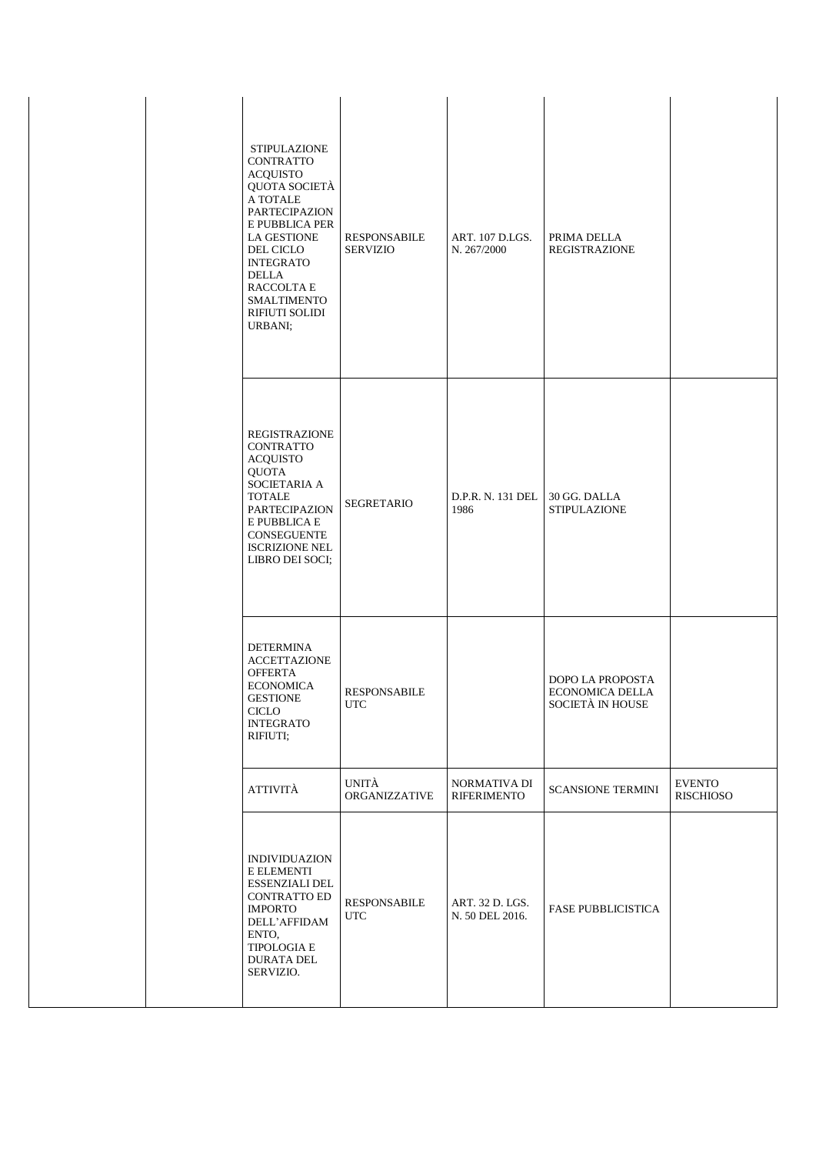| <b>STIPULAZIONE</b><br><b>CONTRATTO</b><br><b>ACQUISTO</b><br>QUOTA SOCIETÀ<br>A TOTALE<br>PARTECIPAZION<br>E PUBBLICA PER<br><b>LA GESTIONE</b><br>DEL CICLO<br><b>INTEGRATO</b><br>DELLA<br>RACCOLTA E<br><b>SMALTIMENTO</b><br>RIFIUTI SOLIDI<br>URBANI; | <b>RESPONSABILE</b><br><b>SERVIZIO</b> | ART. 107 D.LGS.<br>N. 267/2000     | PRIMA DELLA<br><b>REGISTRAZIONE</b>                            |                                   |
|-------------------------------------------------------------------------------------------------------------------------------------------------------------------------------------------------------------------------------------------------------------|----------------------------------------|------------------------------------|----------------------------------------------------------------|-----------------------------------|
| <b>REGISTRAZIONE</b><br><b>CONTRATTO</b><br><b>ACQUISTO</b><br><b>QUOTA</b><br>SOCIETARIA A<br><b>TOTALE</b><br><b>PARTECIPAZION</b><br>E PUBBLICA E<br><b>CONSEGUENTE</b><br><b>ISCRIZIONE NEL</b><br>LIBRO DEI SOCI;                                      | <b>SEGRETARIO</b>                      | D.P.R. N. 131 DEL<br>1986          | 30 GG. DALLA<br><b>STIPULAZIONE</b>                            |                                   |
| <b>DETERMINA</b><br><b>ACCETTAZIONE</b><br><b>OFFERTA</b><br><b>ECONOMICA</b><br><b>GESTIONE</b><br>CICLO<br><b>INTEGRATO</b><br>RIFIUTI;                                                                                                                   | <b>RESPONSABILE</b><br><b>UTC</b>      |                                    | DOPO LA PROPOSTA<br>ECONOMICA DELLA<br><b>SOCIETÀ IN HOUSE</b> |                                   |
| ATTIVITÀ                                                                                                                                                                                                                                                    | UNITÀ<br>ORGANIZZATIVE                 | NORMATIVA DI<br><b>RIFERIMENTO</b> | <b>SCANSIONE TERMINI</b>                                       | <b>EVENTO</b><br><b>RISCHIOSO</b> |
| <b>INDIVIDUAZION</b><br>E ELEMENTI<br><b>ESSENZIALI DEL</b><br><b>CONTRATTO ED</b><br><b>IMPORTO</b><br>DELL'AFFIDAM<br>ENTO,<br>TIPOLOGIA E<br><b>DURATA DEL</b><br>SERVIZIO.                                                                              | <b>RESPONSABILE</b><br><b>UTC</b>      | ART. 32 D. LGS.<br>N. 50 DEL 2016. | <b>FASE PUBBLICISTICA</b>                                      |                                   |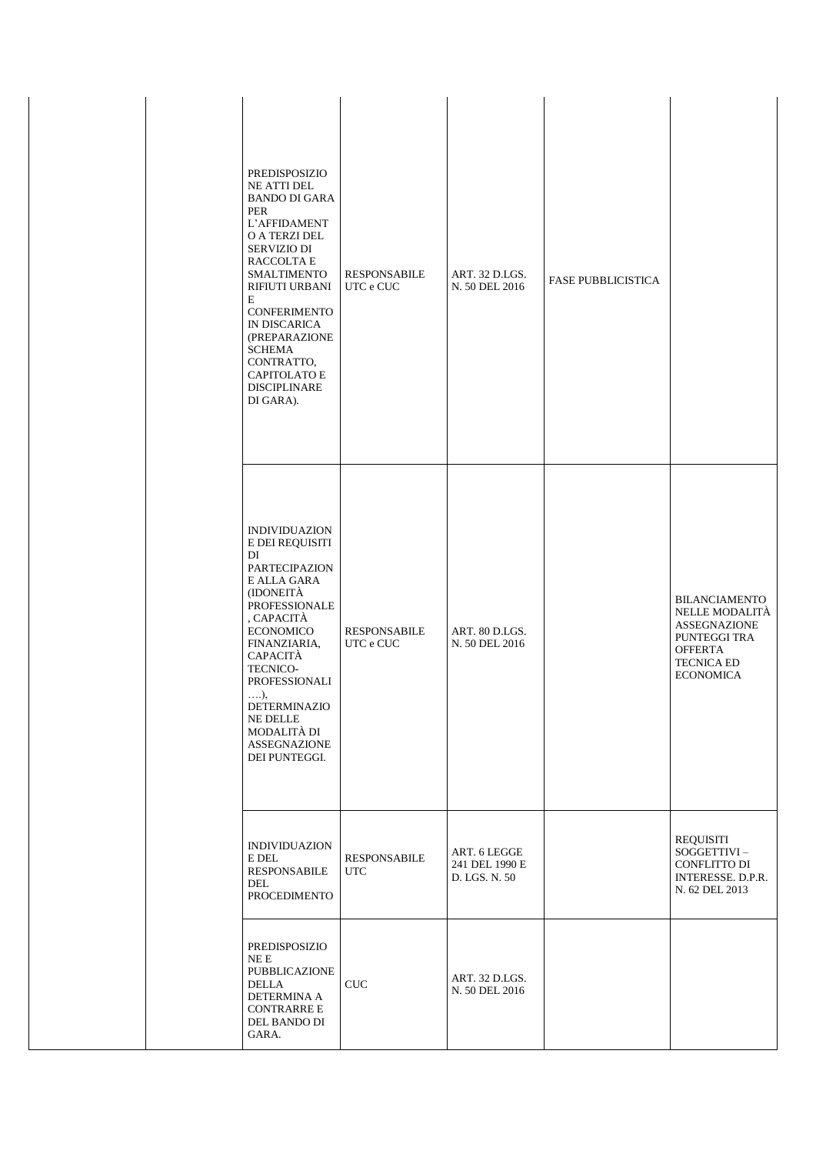| PREDISPOSIZIO<br><b>NE ATTI DEL</b><br><b>BANDO DI GARA</b><br><b>PER</b><br>L'AFFIDAMENT<br>O A TERZI DEL<br><b>SERVIZIO DI</b><br>RACCOLTA E<br><b>SMALTIMENTO</b><br><b>RIFIUTI URBANI</b><br>E<br><b>CONFERIMENTO</b><br>IN DISCARICA<br>(PREPARAZIONE<br><b>SCHEMA</b><br>CONTRATTO,<br><b>CAPITOLATO E</b><br><b>DISCIPLINARE</b><br>DI GARA). | <b>RESPONSABILE</b><br>UTC e CUC  | ART. 32 D.LGS.<br>N. 50 DEL 2016                | <b>FASE PUBBLICISTICA</b> |                                                                                                                                          |
|------------------------------------------------------------------------------------------------------------------------------------------------------------------------------------------------------------------------------------------------------------------------------------------------------------------------------------------------------|-----------------------------------|-------------------------------------------------|---------------------------|------------------------------------------------------------------------------------------------------------------------------------------|
| <b>INDIVIDUAZION</b><br>E DEI REQUISITI<br>DI<br><b>PARTECIPAZION</b><br>E ALLA GARA<br>(IDONEITÀ<br><b>PROFESSIONALE</b><br>, CAPACITÀ<br><b>ECONOMICO</b><br>FINANZIARIA,<br>CAPACITÀ<br>TECNICO-<br>PROFESSIONALI<br>$\ldots$ ),<br><b>DETERMINAZIO</b><br>NE DELLE<br>MODALITÀ DI<br><b>ASSEGNAZIONE</b><br>DEI PUNTEGGI.                        | <b>RESPONSABILE</b><br>UTC e CUC  | ART. 80 D.LGS.<br>N. 50 DEL 2016                |                           | <b>BILANCIAMENTO</b><br>NELLE MODALITÀ<br><b>ASSEGNAZIONE</b><br>PUNTEGGI TRA<br><b>OFFERTA</b><br><b>TECNICA ED</b><br><b>ECONOMICA</b> |
| <b>INDIVIDUAZION</b><br>E DEL<br><b>RESPONSABILE</b><br>DEL<br><b>PROCEDIMENTO</b>                                                                                                                                                                                                                                                                   | <b>RESPONSABILE</b><br><b>UTC</b> | ART. 6 LEGGE<br>241 DEL 1990 E<br>D. LGS. N. 50 |                           | <b>REQUISITI</b><br>SOGGETTIVI-<br>CONFLITTO DI<br>INTERESSE. D.P.R.<br>N. 62 DEL 2013                                                   |
| PREDISPOSIZIO<br>$NEE$<br><b>PUBBLICAZIONE</b><br><b>DELLA</b><br>DETERMINA A<br><b>CONTRARRE E</b><br>DEL BANDO DI<br>GARA.                                                                                                                                                                                                                         | <b>CUC</b>                        | ART. 32 D.LGS.<br>N. 50 DEL 2016                |                           |                                                                                                                                          |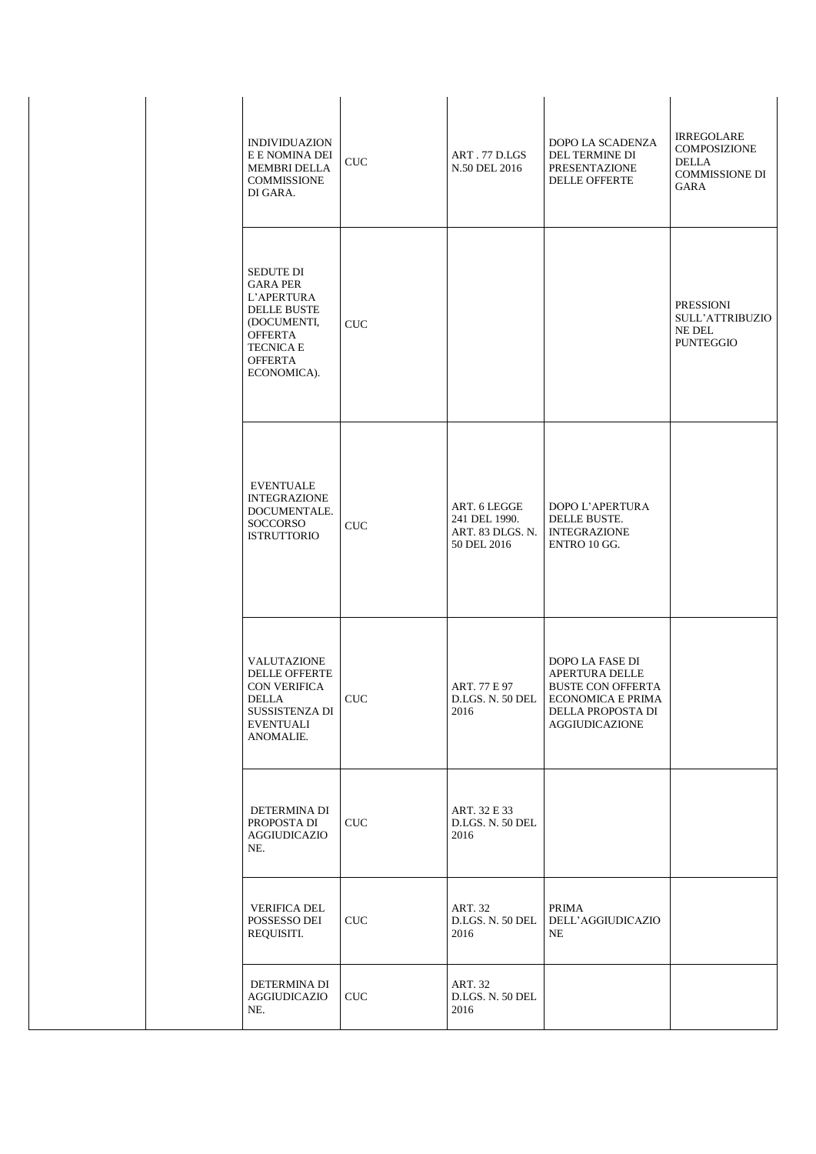| <b>INDIVIDUAZION</b><br>E E NOMINA DEI<br><b>MEMBRI DELLA</b><br><b>COMMISSIONE</b><br>DI GARA.                                                               | CUC        | ART. 77 D.LGS<br>N.50 DEL 2016                                   | DOPO LA SCADENZA<br>DEL TERMINE DI<br><b>PRESENTAZIONE</b><br><b>DELLE OFFERTE</b>                                                                         | <b>IRREGOLARE</b><br><b>COMPOSIZIONE</b><br><b>DELLA</b><br><b>COMMISSIONE DI</b><br><b>GARA</b> |
|---------------------------------------------------------------------------------------------------------------------------------------------------------------|------------|------------------------------------------------------------------|------------------------------------------------------------------------------------------------------------------------------------------------------------|--------------------------------------------------------------------------------------------------|
| <b>SEDUTE DI</b><br><b>GARA PER</b><br>L'APERTURA<br><b>DELLE BUSTE</b><br>(DOCUMENTI,<br><b>OFFERTA</b><br><b>TECNICA E</b><br><b>OFFERTA</b><br>ECONOMICA). | <b>CUC</b> |                                                                  |                                                                                                                                                            | <b>PRESSIONI</b><br><b>SULL'ATTRIBUZIO</b><br>NE DEL<br><b>PUNTEGGIO</b>                         |
| <b>EVENTUALE</b><br><b>INTEGRAZIONE</b><br>DOCUMENTALE.<br><b>SOCCORSO</b><br><b>ISTRUTTORIO</b>                                                              | <b>CUC</b> | ART. 6 LEGGE<br>241 DEL 1990.<br>ART. 83 DLGS. N.<br>50 DEL 2016 | DOPO L'APERTURA<br>DELLE BUSTE.<br><b>INTEGRAZIONE</b><br>ENTRO 10 GG.                                                                                     |                                                                                                  |
| VALUTAZIONE<br><b>DELLE OFFERTE</b><br><b>CON VERIFICA</b><br>DELLA<br>SUSSISTENZA DI<br><b>EVENTUALI</b><br>ANOMALIE.                                        | CUC        | ART. 77 E 97<br>2016                                             | DOPO LA FASE DI<br><b>APERTURA DELLE</b><br><b>BUSTE CON OFFERTA</b><br>D.LGS. N. 50 DEL   ECONOMICA E PRIMA<br>DELLA PROPOSTA DI<br><b>AGGIUDICAZIONE</b> |                                                                                                  |
| DETERMINA DI<br>PROPOSTA DI<br><b>AGGIUDICAZIO</b><br>NE.                                                                                                     | <b>CUC</b> | ART. 32 E 33<br>D.LGS. N. 50 DEL<br>2016                         |                                                                                                                                                            |                                                                                                  |
| <b>VERIFICA DEL</b><br>POSSESSO DEI<br>REQUISITI.                                                                                                             | <b>CUC</b> | ART. 32<br>D.LGS. N. 50 DEL<br>2016                              | PRIMA<br>DELL'AGGIUDICAZIO<br>NE                                                                                                                           |                                                                                                  |
| DETERMINA DI<br>AGGIUDICAZIO<br>NE.                                                                                                                           | <b>CUC</b> | ART. 32<br>D.LGS. N. 50 DEL<br>2016                              |                                                                                                                                                            |                                                                                                  |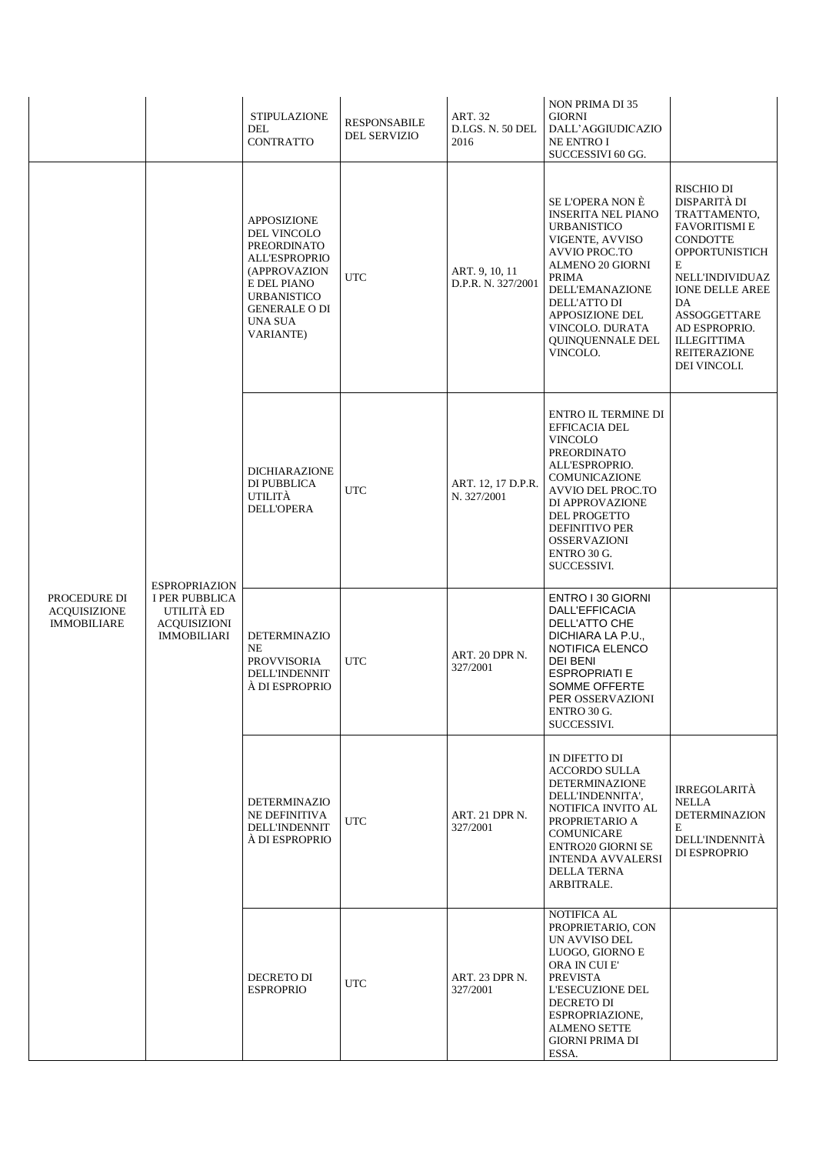|                                                           |                                                                                                          | <b>STIPULAZIONE</b><br>DEL<br><b>CONTRATTO</b>                                                                                                                                                     | <b>RESPONSABILE</b><br><b>DEL SERVIZIO</b>                          | ART. 32<br>D.LGS. N. 50 DEL<br>2016  | <b>NON PRIMA DI 35</b><br><b>GIORNI</b><br>DALL'AGGIUDICAZIO<br><b>NE ENTRO I</b><br>SUCCESSIVI 60 GG.                                                                                                                                                             |                                                                                                                                                                                                                                                                            |  |
|-----------------------------------------------------------|----------------------------------------------------------------------------------------------------------|----------------------------------------------------------------------------------------------------------------------------------------------------------------------------------------------------|---------------------------------------------------------------------|--------------------------------------|--------------------------------------------------------------------------------------------------------------------------------------------------------------------------------------------------------------------------------------------------------------------|----------------------------------------------------------------------------------------------------------------------------------------------------------------------------------------------------------------------------------------------------------------------------|--|
|                                                           | <b>ESPROPRIAZION</b><br><b>I PER PUBBLICA</b><br>UTILITÀ ED<br><b>ACQUISIZIONI</b><br><b>IMMOBILIARI</b> | <b>APPOSIZIONE</b><br><b>DEL VINCOLO</b><br><b>PREORDINATO</b><br><b>ALL'ESPROPRIO</b><br>(APPROVAZION<br>E DEL PIANO<br><b>URBANISTICO</b><br><b>GENERALE O DI</b><br>UNA SUA<br><b>VARIANTE)</b> | <b>UTC</b>                                                          | ART. 9, 10, 11<br>D.P.R. N. 327/2001 | SE L'OPERA NON È<br><b>INSERITA NEL PIANO</b><br><b>URBANISTICO</b><br>VIGENTE, AVVISO<br><b>AVVIO PROC.TO</b><br><b>ALMENO 20 GIORNI</b><br>PRIMA<br><b>DELL'EMANAZIONE</b><br>DELL'ATTO DI<br>APPOSIZIONE DEL<br>VINCOLO. DURATA<br>QUINQUENNALE DEL<br>VINCOLO. | RISCHIO DI<br>DISPARITÀ DI<br>TRATTAMENTO,<br><b>FAVORITISMI E</b><br><b>CONDOTTE</b><br><b>OPPORTUNISTICH</b><br>E<br>NELL'INDIVIDUAZ<br><b>IONE DELLE AREE</b><br>DA<br>ASSOGGETTARE<br>AD ESPROPRIO.<br><b>ILLEGITTIMA</b><br><b>REITERAZIONE</b><br>DEI VINCOLI.       |  |
|                                                           |                                                                                                          |                                                                                                                                                                                                    | <b>DICHIARAZIONE</b><br>DI PUBBLICA<br>UTILITÀ<br><b>DELL'OPERA</b> | <b>UTC</b>                           | ART. 12, 17 D.P.R.<br>N. 327/2001                                                                                                                                                                                                                                  | <b>ENTRO IL TERMINE DI</b><br>EFFICACIA DEL<br><b>VINCOLO</b><br><b>PREORDINATO</b><br>ALL'ESPROPRIO.<br><b>COMUNICAZIONE</b><br><b>AVVIO DEL PROC.TO</b><br>DI APPROVAZIONE<br>DEL PROGETTO<br><b>DEFINITIVO PER</b><br><b>OSSERVAZIONI</b><br>ENTRO 30 G.<br>SUCCESSIVI. |  |
| PROCEDURE DI<br><b>ACQUISIZIONE</b><br><b>IMMOBILIARE</b> |                                                                                                          | <b>DETERMINAZIO</b><br>NE<br><b>PROVVISORIA</b><br><b>DELL'INDENNIT</b><br>À DI ESPROPRIO                                                                                                          | <b>UTC</b>                                                          | ART. 20 DPR N.<br>327/2001           | ENTRO I 30 GIORNI<br>DALL'EFFICACIA<br>DELL'ATTO CHE<br>DICHIARA LA P.U.,<br>NOTIFICA ELENCO<br>DEI BENI<br><b>ESPROPRIATI E</b><br>SOMME OFFERTE<br>PER OSSERVAZIONI<br>ENTRO 30 G.<br>SUCCESSIVI.                                                                |                                                                                                                                                                                                                                                                            |  |
|                                                           |                                                                                                          | <b>DETERMINAZIO</b><br>NE DEFINITIVA<br><b>DELL'INDENNIT</b><br>À DI ESPROPRIO                                                                                                                     | <b>UTC</b>                                                          | ART. 21 DPR N.<br>327/2001           | IN DIFETTO DI<br>ACCORDO SULLA<br><b>DETERMINAZIONE</b><br>DELL'INDENNITA',<br>NOTIFICA INVITO AL<br>PROPRIETARIO A<br>COMUNICARE<br><b>ENTRO20 GIORNI SE</b><br><b>INTENDA AVVALERSI</b><br><b>DELLA TERNA</b><br>ARBITRALE.                                      | <b>IRREGOLARITÀ</b><br><b>NELLA</b><br><b>DETERMINAZION</b><br>E<br>DELL'INDENNITÀ<br>DI ESPROPRIO                                                                                                                                                                         |  |
|                                                           |                                                                                                          | <b>DECRETO DI</b><br><b>ESPROPRIO</b>                                                                                                                                                              | <b>UTC</b>                                                          | ART. 23 DPR N.<br>327/2001           | NOTIFICA AL<br>PROPRIETARIO, CON<br>UN AVVISO DEL<br>LUOGO, GIORNO E<br>ORA IN CUI E'<br><b>PREVISTA</b><br>L'ESECUZIONE DEL<br>DECRETO DI<br>ESPROPRIAZIONE,<br><b>ALMENO SETTE</b><br><b>GIORNI PRIMA DI</b><br>ESSA.                                            |                                                                                                                                                                                                                                                                            |  |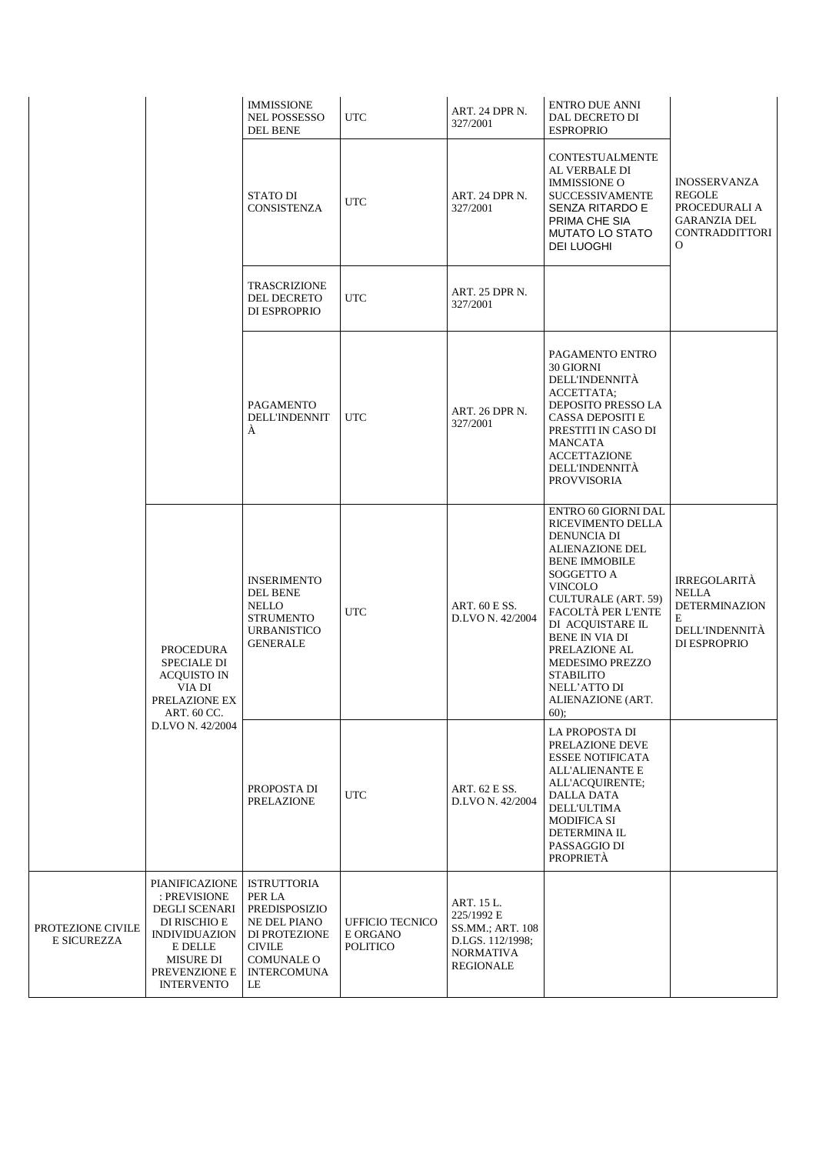|                                         |                                                                                                                                                                     | <b>IMMISSIONE</b><br>NEL POSSESSO<br><b>DEL BENE</b>                                                                                             | <b>UTC</b>                                            | ART. 24 DPR N.<br>327/2001                                                                               | <b>ENTRO DUE ANNI</b><br>DAL DECRETO DI<br><b>ESPROPRIO</b>                                                                                                                                                                                                                                                                       |                                                                                                    |
|-----------------------------------------|---------------------------------------------------------------------------------------------------------------------------------------------------------------------|--------------------------------------------------------------------------------------------------------------------------------------------------|-------------------------------------------------------|----------------------------------------------------------------------------------------------------------|-----------------------------------------------------------------------------------------------------------------------------------------------------------------------------------------------------------------------------------------------------------------------------------------------------------------------------------|----------------------------------------------------------------------------------------------------|
|                                         |                                                                                                                                                                     | <b>STATO DI</b><br><b>CONSISTENZA</b>                                                                                                            | <b>UTC</b>                                            | ART. 24 DPR N.<br>327/2001                                                                               | CONTESTUALMENTE<br>AL VERBALE DI<br><b>IMMISSIONE O</b><br><b>SUCCESSIVAMENTE</b><br>SENZA RITARDO E<br>PRIMA CHE SIA<br><b>MUTATO LO STATO</b><br>DEI LUOGHI                                                                                                                                                                     | INOSSERVANZA<br><b>REGOLE</b><br>PROCEDURALI A<br>GARANZIA DEL<br>CONTRADDITTORI<br>O              |
|                                         |                                                                                                                                                                     | TRASCRIZIONE<br>DEL DECRETO<br>DI ESPROPRIO                                                                                                      | <b>UTC</b>                                            | ART. 25 DPR N.<br>327/2001                                                                               |                                                                                                                                                                                                                                                                                                                                   |                                                                                                    |
|                                         |                                                                                                                                                                     | PAGAMENTO<br><b>DELL'INDENNIT</b><br>À                                                                                                           | <b>UTC</b>                                            | ART. 26 DPR N.<br>327/2001                                                                               | PAGAMENTO ENTRO<br>30 GIORNI<br>DELL'INDENNITÀ<br>ACCETTATA;<br>DEPOSITO PRESSO LA<br>CASSA DEPOSITI E<br>PRESTITI IN CASO DI<br>MANCATA<br><b>ACCETTAZIONE</b><br>DELL'INDENNITÀ<br><b>PROVVISORIA</b>                                                                                                                           |                                                                                                    |
|                                         | <b>PROCEDURA</b><br><b>SPECIALE DI</b><br><b>ACQUISTO IN</b><br>VIA DI<br>PRELAZIONE EX<br>ART. 60 CC.                                                              | <b>INSERIMENTO</b><br><b>DEL BENE</b><br><b>NELLO</b><br><b>STRUMENTO</b><br><b>URBANISTICO</b><br><b>GENERALE</b>                               | <b>UTC</b>                                            | ART. 60 E SS.<br>D.LVO N. 42/2004                                                                        | ENTRO 60 GIORNI DAL<br>RICEVIMENTO DELLA<br>DENUNCIA DI<br>ALIENAZIONE DEL<br><b>BENE IMMOBILE</b><br>SOGGETTO A<br>VINCOLO<br>CULTURALE (ART. 59)<br>FACOLTÀ PER L'ENTE<br>DI ACQUISTARE IL<br><b>BENE IN VIA DI</b><br>PRELAZIONE AL<br><b>MEDESIMO PREZZO</b><br><b>STABILITO</b><br>NELL'ATTO DI<br>ALIENAZIONE (ART.<br>60); | <b>IRREGOLARITÀ</b><br><b>NELLA</b><br><b>DETERMINAZION</b><br>E<br>DELL'INDENNITÀ<br>DI ESPROPRIO |
|                                         | D.LVO N. 42/2004                                                                                                                                                    | PROPOSTA DI<br>PRELAZIONE                                                                                                                        | <b>UTC</b>                                            | ART. 62 E SS.<br>D.LVO N. 42/2004                                                                        | LA PROPOSTA DI<br>PRELAZIONE DEVE<br><b>ESSEE NOTIFICATA</b><br>ALL'ALIENANTE E<br>ALL'ACQUIRENTE;<br><b>DALLA DATA</b><br><b>DELL'ULTIMA</b><br><b>MODIFICA SI</b><br>DETERMINA IL<br>PASSAGGIO DI<br>PROPRIETÀ                                                                                                                  |                                                                                                    |
| PROTEZIONE CIVILE<br><b>E SICUREZZA</b> | <b>PIANIFICAZIONE</b><br>: PREVISIONE<br><b>DEGLI SCENARI</b><br>DI RISCHIO E<br><b>INDIVIDUAZION</b><br>E DELLE<br>MISURE DI<br>PREVENZIONE E<br><b>INTERVENTO</b> | <b>ISTRUTTORIA</b><br>PER LA<br>PREDISPOSIZIO<br>NE DEL PIANO<br>DI PROTEZIONE<br><b>CIVILE</b><br><b>COMUNALE O</b><br><b>INTERCOMUNA</b><br>LE | <b>UFFICIO TECNICO</b><br>E ORGANO<br><b>POLITICO</b> | ART. 15 L.<br>225/1992 E<br>SS.MM.; ART. 108<br>D.LGS. 112/1998;<br><b>NORMATIVA</b><br><b>REGIONALE</b> |                                                                                                                                                                                                                                                                                                                                   |                                                                                                    |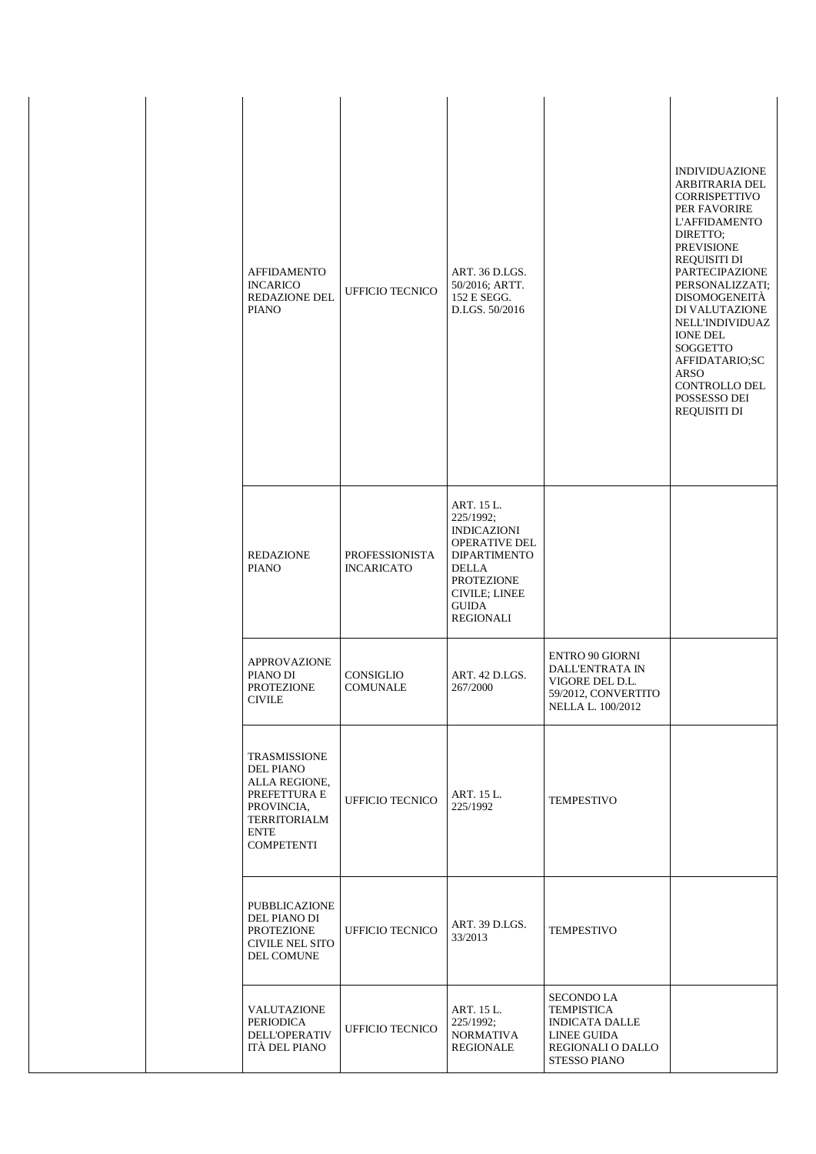| <b>AFFIDAMENTO</b><br><b>INCARICO</b><br><b>REDAZIONE DEL</b><br><b>PIANO</b>                                                              | <b>UFFICIO TECNICO</b>                     | ART. 36 D.LGS.<br>50/2016; ARTT.<br>152 E SEGG.<br>D.LGS. 50/2016                                                                                                                             |                                                                                                                     | <b>INDIVIDUAZIONE</b><br>ARBITRARIA DEL<br>CORRISPETTIVO<br>PER FAVORIRE<br><b>L'AFFIDAMENTO</b><br>DIRETTO:<br><b>PREVISIONE</b><br>REQUISITI DI<br><b>PARTECIPAZIONE</b><br>PERSONALIZZATI;<br><b>DISOMOGENEITÀ</b><br>DI VALUTAZIONE<br><b>NELL'INDIVIDUAZ</b><br><b>IONE DEL</b><br><b>SOGGETTO</b><br>AFFIDATARIO;SC<br>ARSO<br><b>CONTROLLO DEL</b><br>POSSESSO DEI<br>REQUISITI DI |
|--------------------------------------------------------------------------------------------------------------------------------------------|--------------------------------------------|-----------------------------------------------------------------------------------------------------------------------------------------------------------------------------------------------|---------------------------------------------------------------------------------------------------------------------|-------------------------------------------------------------------------------------------------------------------------------------------------------------------------------------------------------------------------------------------------------------------------------------------------------------------------------------------------------------------------------------------|
| <b>REDAZIONE</b><br><b>PIANO</b>                                                                                                           | <b>PROFESSIONISTA</b><br><b>INCARICATO</b> | ART. 15 L.<br>225/1992;<br><b>INDICAZIONI</b><br><b>OPERATIVE DEL</b><br><b>DIPARTIMENTO</b><br><b>DELLA</b><br><b>PROTEZIONE</b><br><b>CIVILE; LINEE</b><br><b>GUIDA</b><br><b>REGIONALI</b> |                                                                                                                     |                                                                                                                                                                                                                                                                                                                                                                                           |
| <b>APPROVAZIONE</b><br>PIANO DI<br><b>PROTEZIONE</b><br><b>CIVILE</b>                                                                      | CONSIGLIO<br>COMUNALE                      | ART. 42 D.LGS.<br>267/2000                                                                                                                                                                    | <b>ENTRO 90 GIORNI</b><br>DALL'ENTRATA IN<br>VIGORE DEL D.L.<br>59/2012, CONVERTITO<br>NELLA L. 100/2012            |                                                                                                                                                                                                                                                                                                                                                                                           |
| TRASMISSIONE<br><b>DEL PIANO</b><br>ALLA REGIONE,<br>PREFETTURA E<br>PROVINCIA,<br><b>TERRITORIALM</b><br><b>ENTE</b><br><b>COMPETENTI</b> | <b>UFFICIO TECNICO</b>                     | ART. 15 L.<br>225/1992                                                                                                                                                                        | <b>TEMPESTIVO</b>                                                                                                   |                                                                                                                                                                                                                                                                                                                                                                                           |
| PUBBLICAZIONE<br>DEL PIANO DI<br><b>PROTEZIONE</b><br><b>CIVILE NEL SITO</b><br>DEL COMUNE                                                 | <b>UFFICIO TECNICO</b>                     | ART. 39 D.LGS.<br>33/2013                                                                                                                                                                     | <b>TEMPESTIVO</b>                                                                                                   |                                                                                                                                                                                                                                                                                                                                                                                           |
| VALUTAZIONE<br><b>PERIODICA</b><br><b>DELL'OPERATIV</b><br>ITÀ DEL PIANO                                                                   | UFFICIO TECNICO                            | ART. 15 L.<br>225/1992;<br><b>NORMATIVA</b><br>REGIONALE                                                                                                                                      | <b>SECONDO LA</b><br><b>TEMPISTICA</b><br><b>INDICATA DALLE</b><br>LINEE GUIDA<br>REGIONALI O DALLO<br>STESSO PIANO |                                                                                                                                                                                                                                                                                                                                                                                           |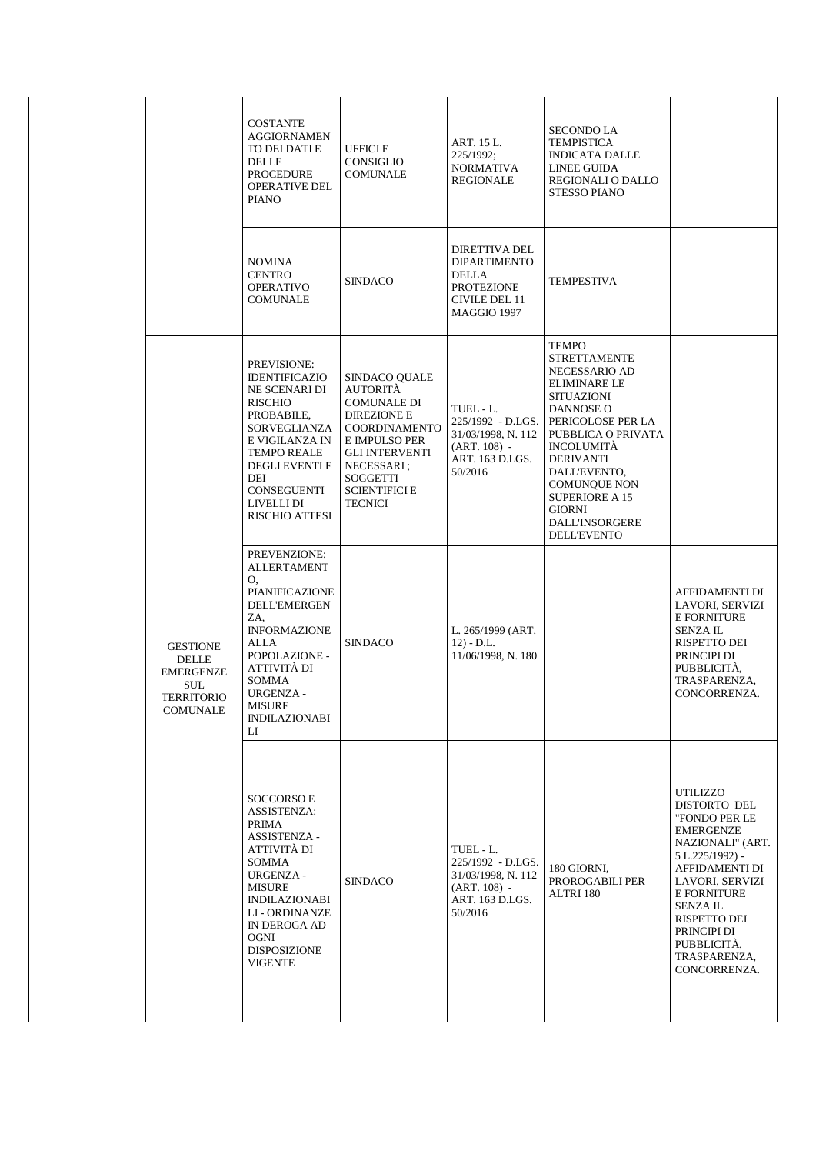|                                                                                                           | <b>COSTANTE</b><br><b>AGGIORNAMEN</b><br>TO DEI DATI E<br>DELLE<br><b>PROCEDURE</b><br><b>OPERATIVE DEL</b><br><b>PIANO</b>                                                                                                                    | UFFICI E<br>CONSIGLIO<br>COMUNALE                                                                                                                                                                                  | ART. 15 L.<br>225/1992;<br><b>NORMATIVA</b><br>REGIONALE                                                         | <b>SECONDO LA</b><br><b>TEMPISTICA</b><br><b>INDICATA DALLE</b><br>LINEE GUIDA<br>REGIONALI O DALLO<br><b>STESSO PIANO</b>                                                                                                                                                                                          |                                                                                                                                                                                                                                                          |
|-----------------------------------------------------------------------------------------------------------|------------------------------------------------------------------------------------------------------------------------------------------------------------------------------------------------------------------------------------------------|--------------------------------------------------------------------------------------------------------------------------------------------------------------------------------------------------------------------|------------------------------------------------------------------------------------------------------------------|---------------------------------------------------------------------------------------------------------------------------------------------------------------------------------------------------------------------------------------------------------------------------------------------------------------------|----------------------------------------------------------------------------------------------------------------------------------------------------------------------------------------------------------------------------------------------------------|
|                                                                                                           | <b>NOMINA</b><br><b>CENTRO</b><br><b>OPERATIVO</b><br>COMUNALE                                                                                                                                                                                 | <b>SINDACO</b>                                                                                                                                                                                                     | <b>DIRETTIVA DEL</b><br><b>DIPARTIMENTO</b><br><b>DELLA</b><br><b>PROTEZIONE</b><br>CIVILE DEL 11<br>MAGGIO 1997 | <b>TEMPESTIVA</b>                                                                                                                                                                                                                                                                                                   |                                                                                                                                                                                                                                                          |
|                                                                                                           | <b>PREVISIONE:</b><br><b>IDENTIFICAZIO</b><br>NE SCENARI DI<br><b>RISCHIO</b><br>PROBABILE,<br>SORVEGLIANZA<br>E VIGILANZA IN<br><b>TEMPO REALE</b><br><b>DEGLI EVENTI E</b><br>DEI<br>CONSEGUENTI<br>LIVELLI DI<br><b>RISCHIO ATTESI</b>      | SINDACO OUALE<br><b>AUTORITÀ</b><br><b>COMUNALE DI</b><br><b>DIREZIONE E</b><br>COORDINAMENTO<br>E IMPULSO PER<br><b>GLI INTERVENTI</b><br>NECESSARI;<br><b>SOGGETTI</b><br><b>SCIENTIFICI E</b><br><b>TECNICI</b> | TUEL - L.<br>225/1992 - D.LGS.<br>31/03/1998, N. 112<br>$(ART. 108) -$<br>ART. 163 D.LGS.<br>50/2016             | <b>TEMPO</b><br><b>STRETTAMENTE</b><br>NECESSARIO AD<br><b>ELIMINARE LE</b><br><b>SITUAZIONI</b><br>DANNOSE O<br>PERICOLOSE PER LA<br>PUBBLICA O PRIVATA<br><b>INCOLUMITÀ</b><br><b>DERIVANTI</b><br>DALL'EVENTO,<br><b>COMUNQUE NON</b><br>SUPERIORE A 15<br><b>GIORNI</b><br>DALL'INSORGERE<br><b>DELL'EVENTO</b> |                                                                                                                                                                                                                                                          |
| <b>GESTIONE</b><br><b>DELLE</b><br><b>EMERGENZE</b><br><b>SUL</b><br><b>TERRITORIO</b><br><b>COMUNALE</b> | PREVENZIONE:<br><b>ALLERTAMENT</b><br>О.<br>PIANIFICAZIONE<br><b>DELL'EMERGEN</b><br>ZA.<br><b>INFORMAZIONE</b><br>ALLA<br>POPOLAZIONE -<br>ATTIVITÀ DI<br><b>SOMMA</b><br><b>URGENZA -</b><br><b>MISURE</b><br><b>INDILAZIONABI</b><br>LI     | <b>SINDACO</b>                                                                                                                                                                                                     | L. 265/1999 (ART.<br>$12) - D.L.$<br>11/06/1998, N. 180                                                          |                                                                                                                                                                                                                                                                                                                     | AFFIDAMENTI DI<br>LAVORI, SERVIZI<br><b>E FORNITURE</b><br><b>SENZAIL</b><br>RISPETTO DEI<br>PRINCIPI DI<br>PUBBLICITÀ,<br>TRASPARENZA,<br>CONCORRENZA.                                                                                                  |
|                                                                                                           | <b>SOCCORSOE</b><br><b>ASSISTENZA:</b><br>PRIMA<br><b>ASSISTENZA -</b><br>ATTIVITÀ DI<br><b>SOMMA</b><br><b>URGENZA -</b><br>MISURE<br><b>INDILAZIONABI</b><br>LI - ORDINANZE<br>IN DEROGA AD<br><b>OGNI</b><br>DISPOSIZIONE<br><b>VIGENTE</b> | <b>SINDACO</b>                                                                                                                                                                                                     | TUEL - L.<br>225/1992 - D.LGS.<br>31/03/1998, N. 112<br>$(ART. 108) -$<br>ART. 163 D.LGS.<br>50/2016             | 180 GIORNI,<br>PROROGABILI PER<br>ALTRI 180                                                                                                                                                                                                                                                                         | UTILIZZO<br>DISTORTO DEL<br>"FONDO PER LE<br>EMERGENZE<br>NAZIONALI" (ART.<br>5 L.225/1992) -<br>AFFIDAMENTI DI<br>LAVORI, SERVIZI<br><b>E FORNITURE</b><br><b>SENZAIL</b><br>RISPETTO DEI<br>PRINCIPI DI<br>PUBBLICITÀ,<br>TRASPARENZA,<br>CONCORRENZA. |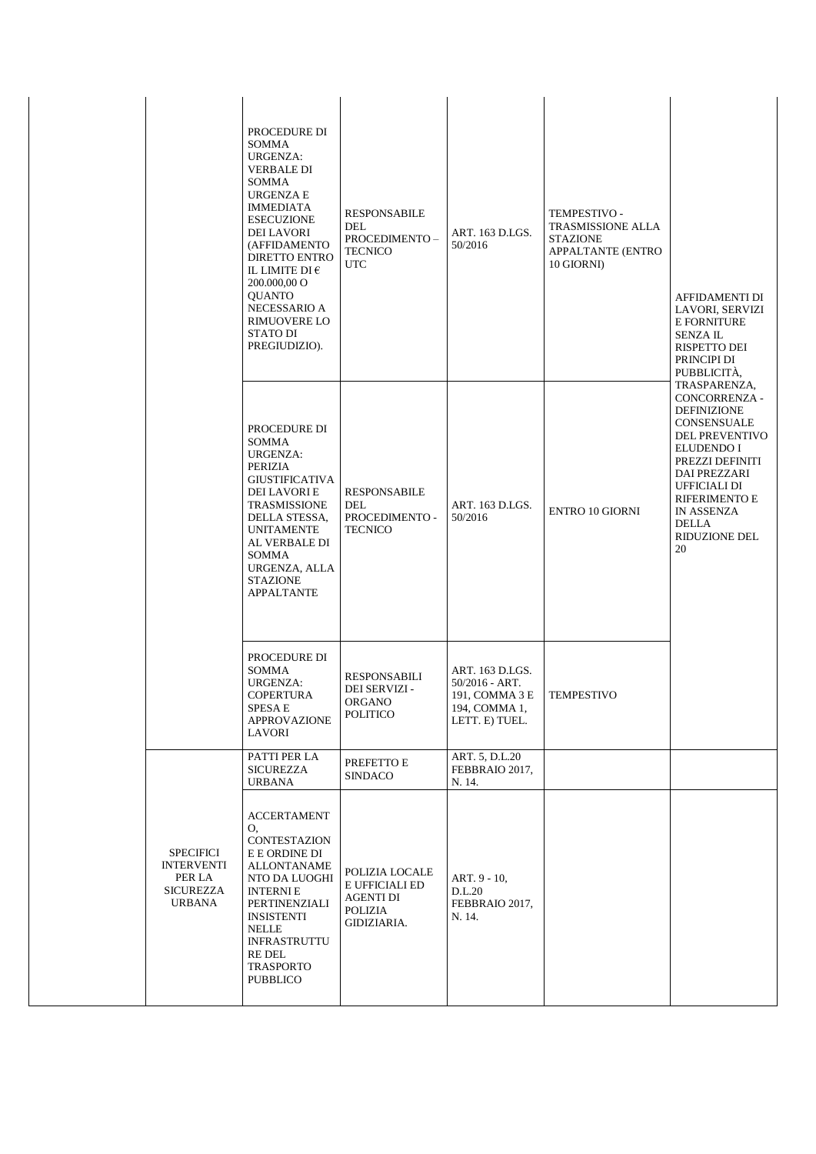|                                                                               | PROCEDURE DI<br>SOMMA<br>URGENZA:<br><b>VERBALE DI</b><br><b>SOMMA</b><br><b>URGENZA E</b><br><b>IMMEDIATA</b><br><b>ESECUZIONE</b><br><b>DEI LAVORI</b><br>(AFFIDAMENTO<br><b>DIRETTO ENTRO</b><br>IL LIMITE DI $\epsilon$<br>200.000,00 O<br><b>QUANTO</b><br>NECESSARIO A<br><b>RIMUOVERE LO</b><br>STATO DI<br>PREGIUDIZIO). | <b>RESPONSABILE</b><br>DEL<br>PROCEDIMENTO-<br><b>TECNICO</b><br><b>UTC</b>    | ART. 163 D.LGS.<br>50/2016                                                             | TEMPESTIVO -<br>TRASMISSIONE ALLA<br><b>STAZIONE</b><br>APPALTANTE (ENTRO<br>10 GIORNI) | AFFIDAMENTI DI<br>LAVORI, SERVIZI<br><b>E FORNITURE</b><br><b>SENZAIL</b><br>RISPETTO DEI<br>PRINCIPI DI<br>PUBBLICITÀ,                                                                                       |
|-------------------------------------------------------------------------------|----------------------------------------------------------------------------------------------------------------------------------------------------------------------------------------------------------------------------------------------------------------------------------------------------------------------------------|--------------------------------------------------------------------------------|----------------------------------------------------------------------------------------|-----------------------------------------------------------------------------------------|---------------------------------------------------------------------------------------------------------------------------------------------------------------------------------------------------------------|
|                                                                               | PROCEDURE DI<br><b>SOMMA</b><br>URGENZA:<br>PERIZIA<br><b>GIUSTIFICATIVA</b><br>DEI LAVORI E<br><b>TRASMISSIONE</b><br>DELLA STESSA,<br><b>UNITAMENTE</b><br>AL VERBALE DI<br>SOMMA<br>URGENZA, ALLA<br><b>STAZIONE</b><br><b>APPALTANTE</b>                                                                                     | <b>RESPONSABILE</b><br><b>DEL</b><br>PROCEDIMENTO -<br><b>TECNICO</b>          | ART. 163 D.LGS.<br>50/2016                                                             | <b>ENTRO 10 GIORNI</b>                                                                  | TRASPARENZA,<br>CONCORRENZA -<br>DEFINIZIONE<br>CONSENSUALE<br>DEL PREVENTIVO<br>ELUDENDO I<br>PREZZI DEFINITI<br>DAI PREZZARI<br>UFFICIALI DI<br>RIFERIMENTO E<br>IN ASSENZA<br>DELLA<br>RIDUZIONE DEL<br>20 |
|                                                                               | PROCEDURE DI<br><b>SOMMA</b><br>URGENZA:<br><b>COPERTURA</b><br>SPESA E<br><b>APPROVAZIONE</b><br>LAVORI                                                                                                                                                                                                                         | <b>RESPONSABILI</b><br>DEI SERVIZI -<br><b>ORGANO</b><br>POLITICO              | ART. 163 D.LGS.<br>50/2016 - ART.<br>191, COMMA 3 E<br>194, COMMA 1,<br>LETT. E) TUEL. | <b>TEMPESTIVO</b>                                                                       |                                                                                                                                                                                                               |
|                                                                               | PATTI PER LA<br><b>SICUREZZA</b><br><b>URBANA</b>                                                                                                                                                                                                                                                                                | PREFETTO E<br><b>SINDACO</b>                                                   | ART. 5, D.L.20<br>FEBBRAIO 2017,<br>N. 14.                                             |                                                                                         |                                                                                                                                                                                                               |
| <b>SPECIFICI</b><br><b>INTERVENTI</b><br>PER LA<br><b>SICUREZZA</b><br>URBANA | <b>ACCERTAMENT</b><br>O,<br>CONTESTAZION<br>E E ORDINE DI<br><b>ALLONTANAME</b><br>NTO DA LUOGHI<br><b>INTERNIE</b><br>PERTINENZIALI<br>INSISTENTI<br>NELLE<br><b>INFRASTRUTTU</b><br>RE DEL<br>TRASPORTO<br>PUBBLICO                                                                                                            | POLIZIA LOCALE<br>E UFFICIALI ED<br>AGENTI DI<br><b>POLIZIA</b><br>GIDIZIARIA. | ART. 9 - 10,<br>D.L.20<br>FEBBRAIO 2017,<br>N. 14.                                     |                                                                                         |                                                                                                                                                                                                               |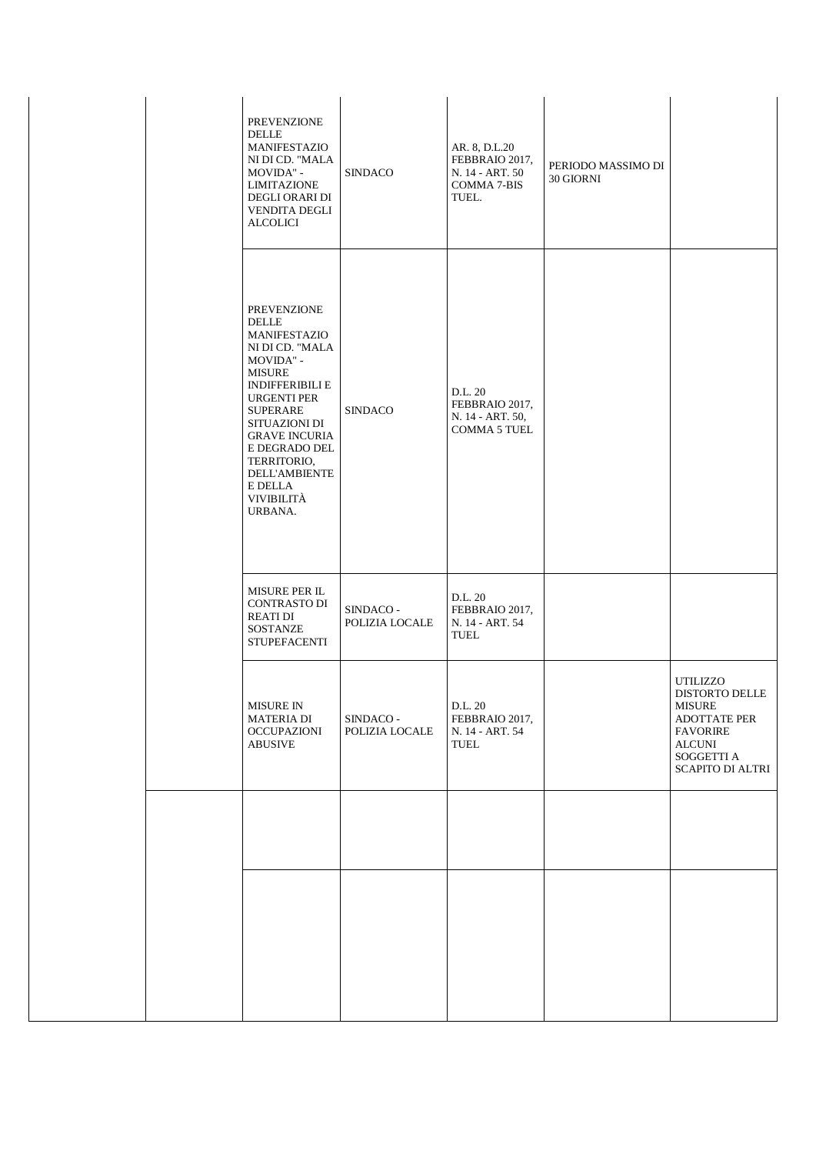| <b>PREVENZIONE</b><br><b>DELLE</b><br>MANIFESTAZIO<br>NI DI CD. "MALA<br>MOVIDA" -<br><b>LIMITAZIONE</b><br>DEGLI ORARI DI<br><b>VENDITA DEGLI</b><br>ALCOLICI                                                                                                                                              | <b>SINDACO</b>              | AR. 8, D.L.20<br>FEBBRAIO 2017,<br>N. 14 - ART. 50<br>COMMA 7-BIS<br>TUEL. | PERIODO MASSIMO DI<br>30 GIORNI |                                                                                                                                          |
|-------------------------------------------------------------------------------------------------------------------------------------------------------------------------------------------------------------------------------------------------------------------------------------------------------------|-----------------------------|----------------------------------------------------------------------------|---------------------------------|------------------------------------------------------------------------------------------------------------------------------------------|
| <b>PREVENZIONE</b><br><b>DELLE</b><br>MANIFESTAZIO<br>NI DI CD. "MALA<br>MOVIDA" -<br><b>MISURE</b><br><b>INDIFFERIBILI E</b><br><b>URGENTI PER</b><br><b>SUPERARE</b><br>SITUAZIONI DI<br><b>GRAVE INCURIA</b><br>E DEGRADO DEL<br>TERRITORIO,<br><b>DELL'AMBIENTE</b><br>E DELLA<br>VIVIBILITÀ<br>URBANA. | <b>SINDACO</b>              | D.L. 20<br>FEBBRAIO 2017,<br>N. 14 - ART. 50,<br><b>COMMA 5 TUEL</b>       |                                 |                                                                                                                                          |
| MISURE PER IL<br><b>CONTRASTO DI</b><br><b>REATI DI</b><br><b>SOSTANZE</b><br><b>STUPEFACENTI</b>                                                                                                                                                                                                           | SINDACO -<br>POLIZIA LOCALE | D.L. 20<br>FEBBRAIO 2017,<br>N. 14 - ART. 54<br><b>TUEL</b>                |                                 |                                                                                                                                          |
| <b>MISURE IN</b><br><b>MATERIA DI</b><br><b>OCCUPAZIONI</b><br><b>ABUSIVE</b>                                                                                                                                                                                                                               | SINDACO -<br>POLIZIA LOCALE | D.L. 20<br>FEBBRAIO 2017,<br>N. 14 - ART. 54<br>TUEL                       |                                 | UTILIZZO<br><b>DISTORTO DELLE</b><br><b>MISURE</b><br>ADOTTATE PER<br><b>FAVORIRE</b><br><b>ALCUNI</b><br>SOGGETTI A<br>SCAPITO DI ALTRI |
|                                                                                                                                                                                                                                                                                                             |                             |                                                                            |                                 |                                                                                                                                          |
|                                                                                                                                                                                                                                                                                                             |                             |                                                                            |                                 |                                                                                                                                          |
|                                                                                                                                                                                                                                                                                                             |                             |                                                                            |                                 |                                                                                                                                          |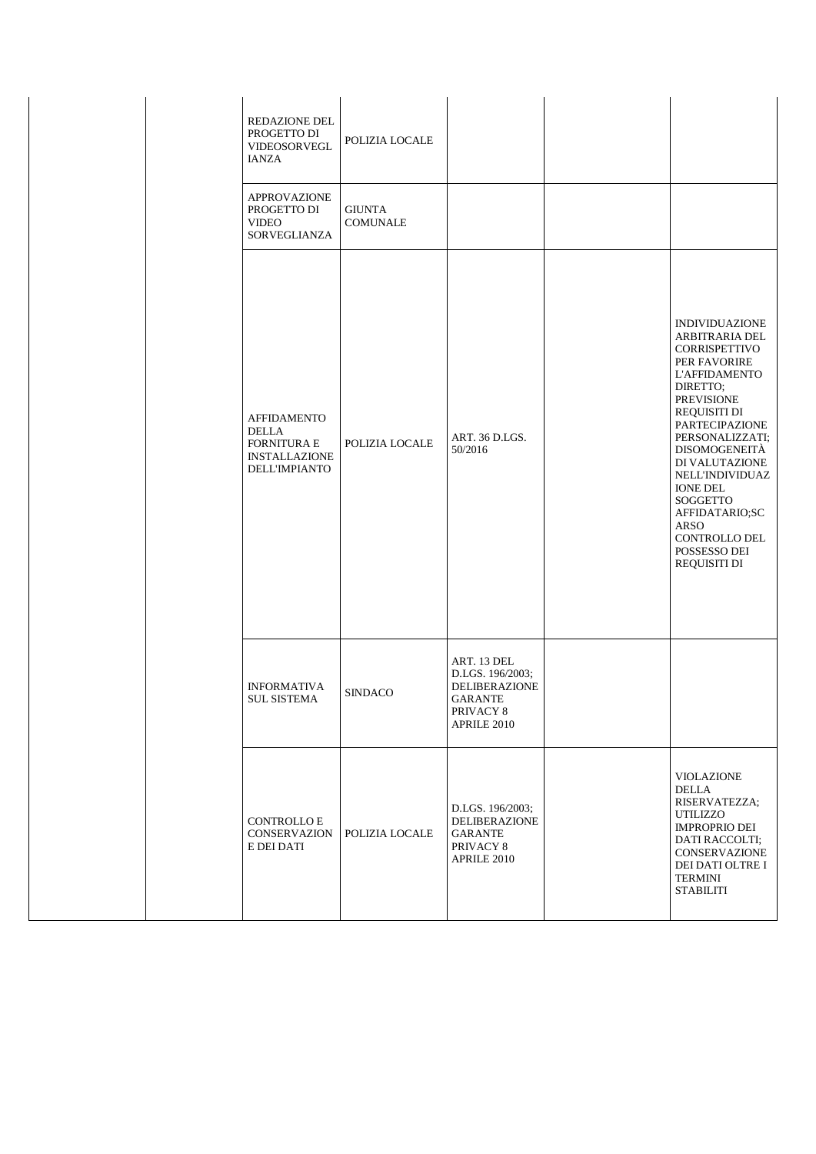|  | <b>REDAZIONE DEL</b><br>PROGETTO DI<br>VIDEOSORVEGL<br><b>IANZA</b>                                      | POLIZIA LOCALE                   |                                                                                                |                                                                                                                                                                                                                                                                                                                                                                                           |
|--|----------------------------------------------------------------------------------------------------------|----------------------------------|------------------------------------------------------------------------------------------------|-------------------------------------------------------------------------------------------------------------------------------------------------------------------------------------------------------------------------------------------------------------------------------------------------------------------------------------------------------------------------------------------|
|  | <b>APPROVAZIONE</b><br>PROGETTO DI<br><b>VIDEO</b><br>SORVEGLIANZA                                       | <b>GIUNTA</b><br><b>COMUNALE</b> |                                                                                                |                                                                                                                                                                                                                                                                                                                                                                                           |
|  | <b>AFFIDAMENTO</b><br><b>DELLA</b><br><b>FORNITURA E</b><br><b>INSTALLAZIONE</b><br><b>DELL'IMPIANTO</b> | POLIZIA LOCALE                   | ART. 36 D.LGS.<br>50/2016                                                                      | <b>INDIVIDUAZIONE</b><br>ARBITRARIA DEL<br><b>CORRISPETTIVO</b><br>PER FAVORIRE<br><b>L'AFFIDAMENTO</b><br>DIRETTO;<br><b>PREVISIONE</b><br><b>REQUISITI DI</b><br><b>PARTECIPAZIONE</b><br>PERSONALIZZATI;<br>DISOMOGENEITÀ<br>DI VALUTAZIONE<br>NELL'INDIVIDUAZ<br><b>IONE DEL</b><br><b>SOGGETTO</b><br>AFFIDATARIO;SC<br><b>ARSO</b><br>CONTROLLO DEL<br>POSSESSO DEI<br>REQUISITI DI |
|  | <b>INFORMATIVA</b><br><b>SUL SISTEMA</b>                                                                 | <b>SINDACO</b>                   | ART. 13 DEL<br>D.LGS. 196/2003;<br>DELIBERAZIONE<br><b>GARANTE</b><br>PRIVACY 8<br>APRILE 2010 |                                                                                                                                                                                                                                                                                                                                                                                           |
|  | CONTROLLO ${\sf E}$<br>CONSERVAZION<br>E DEI DATI                                                        | POLIZIA LOCALE                   | D.LGS. 196/2003;<br><b>DELIBERAZIONE</b><br><b>GARANTE</b><br>PRIVACY 8<br>APRILE 2010         | VIOLAZIONE<br>DELLA<br>RISERVATEZZA;<br>UTILIZZO<br><b>IMPROPRIO DEI</b><br>DATI RACCOLTI;<br><b>CONSERVAZIONE</b><br>DEI DATI OLTRE I<br><b>TERMINI</b><br><b>STABILITI</b>                                                                                                                                                                                                              |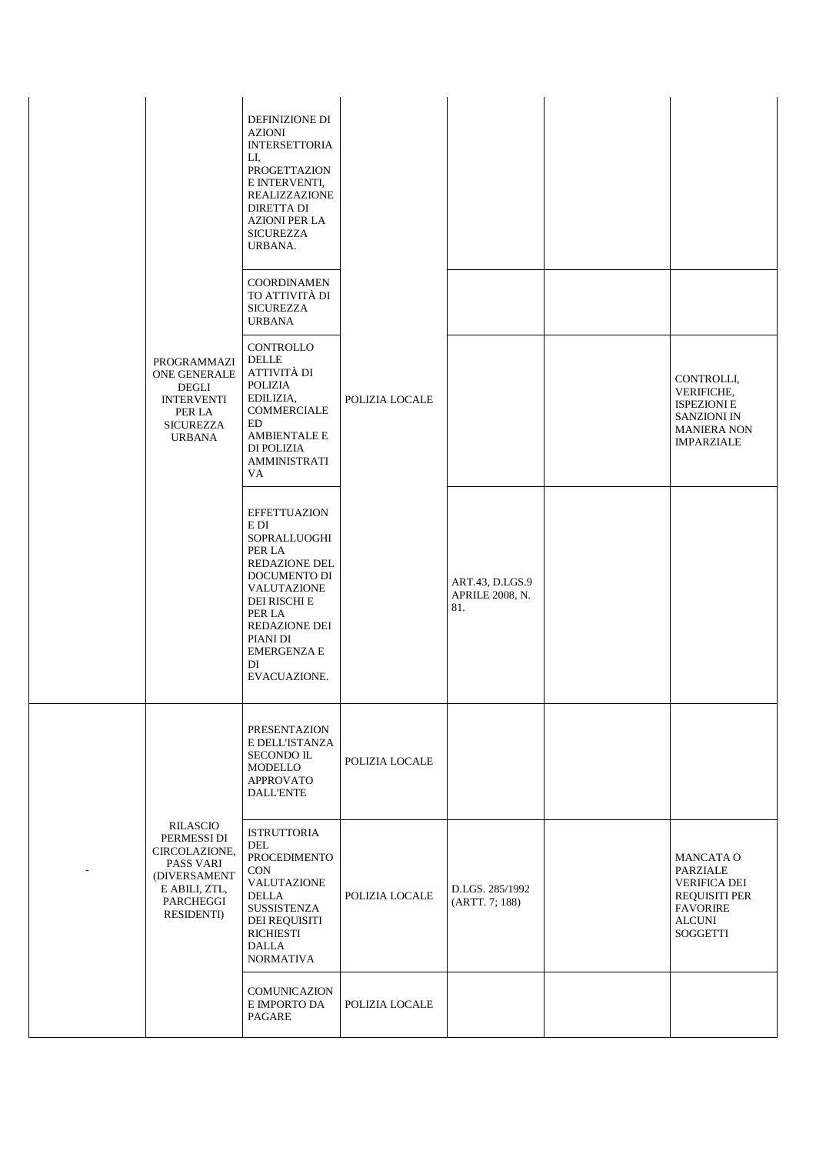|                                                                                                                                  | <b>DEFINIZIONE DI</b><br><b>AZIONI</b><br><b>INTERSETTORIA</b><br>LI.<br>PROGETTAZION<br>E INTERVENTI,<br><b>REALIZZAZIONE</b><br><b>DIRETTA DI</b><br><b>AZIONI PER LA</b><br><b>SICUREZZA</b><br>URBANA.<br><b>COORDINAMEN</b><br>TO ATTIVITÀ DI<br><b>SICUREZZA</b> |                |                                           |                                                                                                                             |
|----------------------------------------------------------------------------------------------------------------------------------|------------------------------------------------------------------------------------------------------------------------------------------------------------------------------------------------------------------------------------------------------------------------|----------------|-------------------------------------------|-----------------------------------------------------------------------------------------------------------------------------|
| PROGRAMMAZI<br>ONE GENERALE<br>DEGLI<br><b>INTERVENTI</b><br>PER LA<br><b>SICUREZZA</b><br><b>URBANA</b>                         | <b>URBANA</b><br><b>CONTROLLO</b><br><b>DELLE</b><br>ATTIVITÀ DI<br><b>POLIZIA</b><br>EDILIZIA,<br><b>COMMERCIALE</b><br>ED<br><b>AMBIENTALE E</b><br>DI POLIZIA<br><b>AMMINISTRATI</b><br>VA.                                                                         | POLIZIA LOCALE |                                           | CONTROLLI,<br><b>VERIFICHE,</b><br><b>ISPEZIONI E</b><br><b>SANZIONI IN</b><br><b>MANIERA NON</b><br><b>IMPARZIALE</b>      |
|                                                                                                                                  | <b>EFFETTUAZION</b><br>E DI<br>SOPRALLUOGHI<br>PER LA<br><b>REDAZIONE DEL</b><br>DOCUMENTO DI<br>VALUTAZIONE<br><b>DEI RISCHI E</b><br>PER LA<br><b>REDAZIONE DEI</b><br>PIANI DI<br><b>EMERGENZA E</b><br>DI<br>EVACUAZIONE.                                          |                | ART.43, D.LGS.9<br>APRILE 2008, N.<br>81. |                                                                                                                             |
|                                                                                                                                  | PRESENTAZION<br>E DELL'ISTANZA<br>SECONDO IL<br><b>MODELLO</b><br><b>APPROVATO</b><br><b>DALL'ENTE</b>                                                                                                                                                                 | POLIZIA LOCALE |                                           |                                                                                                                             |
| RILASCIO<br>PERMESSI DI<br>CIRCOLAZIONE,<br><b>PASS VARI</b><br>(DIVERSAMENT<br>E ABILI, ZTL,<br>PARCHEGGI<br><b>RESIDENTI</b> ) | <b>ISTRUTTORIA</b><br>DEL<br>PROCEDIMENTO<br><b>CON</b><br>VALUTAZIONE<br><b>DELLA</b><br>SUSSISTENZA<br>DEI REQUISITI<br><b>RICHIESTI</b><br><b>DALLA</b><br><b>NORMATIVA</b>                                                                                         | POLIZIA LOCALE | D.LGS. 285/1992<br>(ARTT. 7; 188)         | MANCATA O<br>PARZIALE<br><b>VERIFICA DEI</b><br><b>REQUISITI PER</b><br><b>FAVORIRE</b><br><b>ALCUNI</b><br><b>SOGGETTI</b> |
|                                                                                                                                  | COMUNICAZION<br>E IMPORTO DA<br>PAGARE                                                                                                                                                                                                                                 | POLIZIA LOCALE |                                           |                                                                                                                             |

-